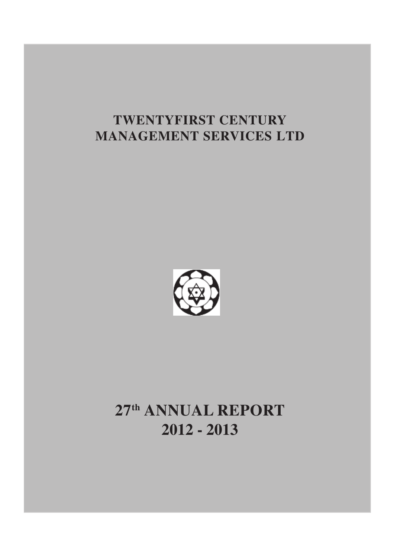# **TWENTYFIRST CENTURY MANAGEMENT SERVICES LTD**



# **27th ANNUAL REPORT 2012 - 2013**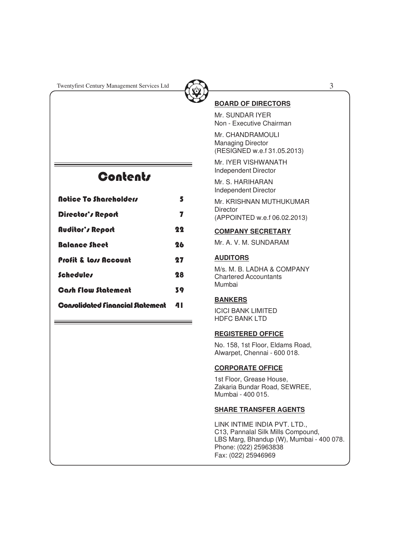

# **BOARD OF DIRECTORS**

Mr. SUNDAR IYER Non - Executive Chairman

Mr. CHANDRAMOULI Managing Director (RESIGNED w.e.f 31.05.2013)

Mr. IYER VISHWANATH Independent Director

Mr. S. HARIHARAN Independent Director

Mr. KRISHNAN MUTHUKUMAR **Director** (APPOINTED w.e.f 06.02.2013)

# **COMPANY SECRETARY**

Mr. A. V. M. SUNDARAM

# **AUDITORS**

M/s. M. B. LADHA & COMPANY Chartered Accountants Mumbai

# **BANKERS**

ICICI BANK LIMITED HDFC BANK LTD

#### **REGISTERED OFFICE**

No. 158, 1st Floor, Eldams Road, Alwarpet, Chennai - 600 018.

# **CORPORATE OFFICE**

1st Floor, Grease House, Zakaria Bundar Road, SEWREE, Mumbai - 400 015.

# **SHARE TRANSFER AGENTS**

LINK INTIME INDIA PVT. LTD., C13, Pannalal Silk Mills Compound, LBS Marg, Bhandup (W), Mumbai - 400 078. Phone: (022) 25963838 Fax: (022) 25946969

# **Contents**

| Notice To Shareholders                  |     |
|-----------------------------------------|-----|
| Director's Report                       | 7   |
| <b>Auditor's Report</b>                 | 22  |
| <b>Balance Sheet</b>                    | 26  |
| Profit & Loss Account                   | 27  |
| <b>Schedules</b>                        | 28  |
| <b>Cash flow Statement</b>              | 39  |
| <b>Consolidated Financial Statement</b> | 4 I |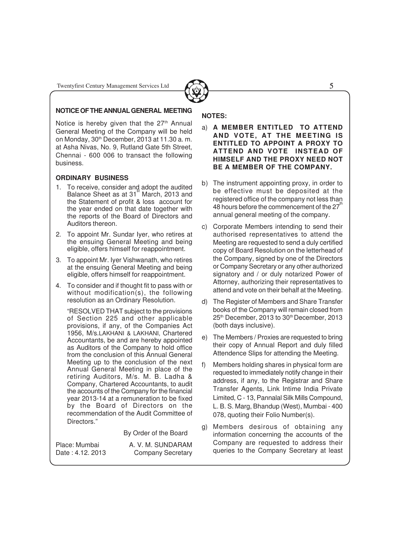Twentyfirst Century Management Services Ltd  $\sqrt{2\Delta}$  5



#### **NOTICE OF THE ANNUAL GENERAL MEETING**

Notice is hereby given that the 27<sup>th</sup> Annual General Meeting of the Company will be held on Monday, 30<sup>th</sup> December, 2013 at 11.30 a.m. at Asha Nivas, No. 9, Rutland Gate 5th Street, Chennai - 600 006 to transact the following business.

#### **ORDINARY BUSINESS**

- 1. To receive, consider and adopt the audited Balance Sheet as at 31<sup>°</sup> March, 2013 and the Statement of profit & loss account for the year ended on that date together with the reports of the Board of Directors and Auditors thereon.
- 2. To appoint Mr. Sundar Iyer, who retires at the ensuing General Meeting and being eligible, offers himself for reappointment.
- 3. To appoint Mr. Iyer Vishwanath, who retires at the ensuing General Meeting and being eligible, offers himself for reappointment.
- 4. To consider and if thought fit to pass with or without modification(s), the following resolution as an Ordinary Resolution.

"RESOLVED THAT subject to the provisions of Section 225 and other applicable provisions, if any, of the Companies Act 1956, M/s.LAKHANI & LAKHANI, Chartered Accountants, be and are hereby appointed as Auditors of the Company to hold office from the conclusion of this Annual General Meeting up to the conclusion of the next Annual General Meeting in place of the retiring Auditors, M/s. M. B. Ladha & Company, Chartered Accountants, to audit the accounts of the Company for the financial year 2013-14 at a remuneration to be fixed by the Board of Directors on the recommendation of the Audit Committee of Directors."

#### By Order of the Board

Place: Mumbai A. V. M. SUNDARAM Date : 4.12. 2013 Company Secretary

#### **NOTES:**

- a) **A MEMBER ENTITLED TO ATTEND AND VOTE, AT THE MEETING IS ENTITLED TO APPOINT A PROXY TO ATTEND AND VOTE INSTEAD OF HIMSELF AND THE PROXY NEED NOT BE A MEMBER OF THE COMPANY.**
- b) The instrument appointing proxy, in order to be effective must be deposited at the registered office of the company not less than 48 hours before the commencement of the 27<sup>th</sup> annual general meeting of the company.
- c) Corporate Members intending to send their authorised representatives to attend the Meeting are requested to send a duly certified copy of Board Resolution on the letterhead of the Company, signed by one of the Directors or Company Secretary or any other authorized signatory and / or duly notarized Power of Attorney, authorizing their representatives to attend and vote on their behalf at the Meeting.
- d) The Register of Members and Share Transfer books of the Company will remain closed from 25<sup>th</sup> December, 2013 to 30<sup>th</sup> December, 2013 (both days inclusive).
- e) The Members / Proxies are requested to bring their copy of Annual Report and duly filled Attendence Slips for attending the Meeting.
- f) Members holding shares in physical form are requested to immediately notify change in their address, if any, to the Registrar and Share Transfer Agents, Link Intime India Private Limited, C - 13, Pannalal Silk Mills Compound, L. B. S. Marg, Bhandup (West), Mumbai - 400 078, quoting their Folio Number(s).
- g) Members desirous of obtaining any information concerning the accounts of the Company are requested to address their queries to the Company Secretary at least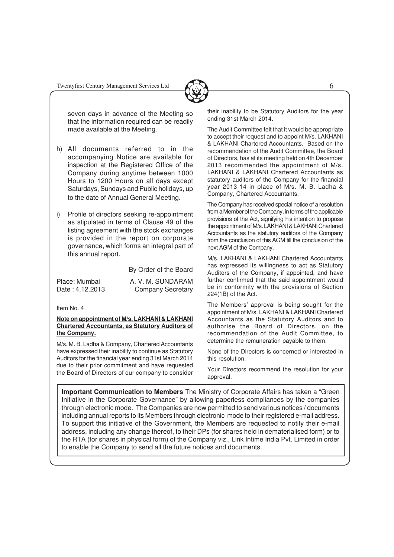

seven days in advance of the Meeting so that the information required can be readily made available at the Meeting.

- h) All documents referred to in the accompanying Notice are available for inspection at the Registered Office of the Company during anytime between 1000 Hours to 1200 Hours on all days except Saturdays, Sundays and Public holidays, up to the date of Annual General Meeting.
- i) Profile of directors seeking re-appointment as stipulated in terms of Clause 49 of the listing agreement with the stock exchanges is provided in the report on corporate governance, which forms an integral part of this annual report.

By Order of the Board

Place: Mumbai A. V. M. SUNDARAM Date : 4.12.2013 Company Secretary

Item No. 4

**Note on appointment of M/s. LAKHANI & LAKHANI Chartered Accountants, as Statutory Auditors of the Company.**

M/s. M. B. Ladha & Company, Chartered Accountants have expressed their inability to continue as Statutory Auditors for the financial year ending 31st March 2014 due to their prior commitment and have requested the Board of Directors of our company to consider their inability to be Statutory Auditors for the year ending 31st March 2014.

The Audit Committee felt that it would be appropriate to accept their request and to appoint M/s. LAKHANI & LAKHANI Chartered Accountants. Based on the recommendation of the Audit Committee, the Board of Directors, has at its meeting held on 4th December 2013 recommended the appointment of M/s. LAKHANI & LAKHANI Chartered Accountants as statutory auditors of the Company for the financial year 2013-14 in place of M/s. M. B. Ladha & Company, Chartered Accountants.

The Company has received special notice of a resolution from a Member of the Company, in terms of the applicable provisions of the Act, signifying his intention to propose the appointment of M/s. LAKHANI & LAKHANI Chartered Accountants as the statutory auditors of the Company from the conclusion of this AGM till the conclusion of the next AGM of the Company.

M/s. LAKHANI & LAKHANI Chartered Accountants has expressed its willingness to act as Statutory Auditors of the Company, if appointed, and have further confirmed that the said appointment would be in conformity with the provisions of Section 224(1B) of the Act.

The Members' approval is being sought for the appointment of M/s. LAKHANI & LAKHANI Chartered Accountants as the Statutory Auditors and to authorise the Board of Directors, on the recommendation of the Audit Committee, to determine the remuneration payable to them.

None of the Directors is concerned or interested in this resolution.

Your Directors recommend the resolution for your approval.

**Important Communication to Members** The Ministry of Corporate Affairs has taken a "Green Initiative in the Corporate Governance" by allowing paperless compliances by the companies through electronic mode. The Companies are now permitted to send various notices / documents including annual reports to its Members through electronic mode to their registered e-mail address. To support this initiative of the Government, the Members are requested to notify their e-mail address, including any change thereof, to their DPs (for shares held in dematerialised form) or to the RTA (for shares in physical form) of the Company viz., Link Intime India Pvt. Limited in order to enable the Company to send all the future notices and documents.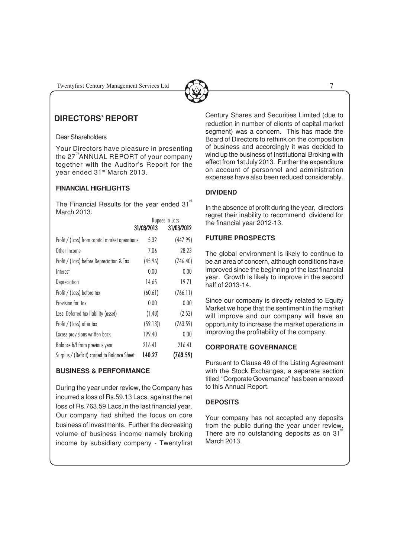Twentyfirst Century Management Services Ltd  $\sim$   $\sim$   $\sim$   $\sim$   $\sim$  7



# t**DIRECTORS' REPORT**

#### Dear Shareholders

Your Directors have pleasure in presenting the 27<sup>th</sup>ANNUAL REPORT of your company together with the Auditor's Report for the year ended 31st March 2013.

#### **FINANCIAL HIGHLIGHTS**

The Financial Results for the year ended 31<sup>st</sup> March 2013.

Rupees in Lacs

|                                                | <b>INUPULIS III LULS</b> |            |  |
|------------------------------------------------|--------------------------|------------|--|
|                                                | 31/03/2013               | 31/03/2012 |  |
| Profit / (Loss) from capital market operations | 5.32                     | (447.99)   |  |
| Other Income                                   | 7.06                     | 28.23      |  |
| Profit / (Loss) before Depreciation & Tax      | (45.96)                  | (746.40)   |  |
| Interest                                       | 0.00                     | 0.00       |  |
| Depreciation                                   | 14.65                    | 19.71      |  |
| Profit / (Loss) before tax                     | (60.61)                  | (766.11)   |  |
| Provision for tax                              | 0.00                     | 0.00       |  |
| Less: Deferred tax liability (asset)           | (1.48)                   | (2.52)     |  |
| Profit / (Loss) after tax                      | (59.13)                  | (763.59)   |  |
| Excess provisions written back                 | 199.40                   | 0.00       |  |
| Balance b/f from previous year                 | 216.41                   | 216.41     |  |
| Surplus / (Deficit) carried to Balance Sheet   | 140.27                   | (763.59)   |  |

#### **BUSINESS & PERFORMANCE**

During the year under review, the Company has incurred a loss of Rs.59.13 Lacs, against the net loss of Rs.763.59 Lacs,in the last financial year. Our company had shifted the focus on core business of investments. Further the decreasing volume of business income namely broking income by subsidiary company - Twentyfirst Century Shares and Securities Limited (due to reduction in number of clients of capital market segment) was a concern. This has made the Board of Directors to rethink on the composition of business and accordingly it was decided to wind up the business of Institutional Broking with effect from 1st July 2013. Further the expenditure on account of personnel and administration expenses have also been reduced considerably.

#### **DIVIDEND**

In the absence of profit during the year, directors regret their inability to recommend dividend for the financial year 2012-13.

# **FUTURE PROSPECTS**

The global environment is likely to continue to be an area of concern, although conditions have improved since the beginning of the last financial year. Growth is likely to improve in the second half of 2013-14.

Since our company is directly related to Equity Market we hope that the sentiment in the market will improve and our company will have an opportunity to increase the market operations in improving the profitability of the company.

#### **CORPORATE GOVERNANCE**

Pursuant to Clause 49 of the Listing Agreement with the Stock Exchanges, a separate section titled "Corporate Governance" has been annexed to this Annual Report.

#### **DEPOSITS**

Your company has not accepted any deposits from the public during the year under review. There are no outstanding deposits as on  $31<sup>s</sup>$ March 2013.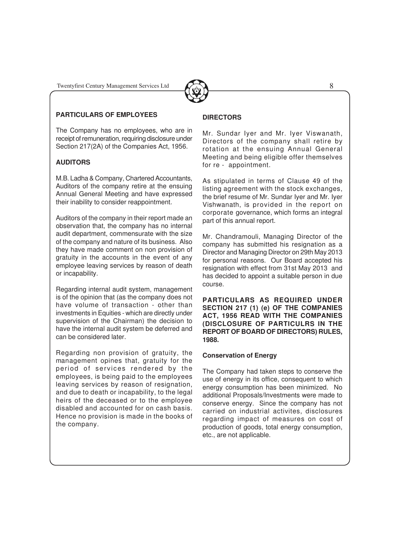Twentyfirst Century Management Services Ltd  $\sim$  8



#### **PARTICULARS OF EMPLOYEES**

The Company has no employees, who are in receipt of remuneration, requiring disclosure under Section 217(2A) of the Companies Act, 1956.

# **AUDITORS**

M.B. Ladha & Company, Chartered Accountants, Auditors of the company retire at the ensuing Annual General Meeting and have expressed their inability to consider reappointment.

Auditors of the company in their report made an observation that, the company has no internal audit department, commensurate with the size of the company and nature of its business. Also they have made comment on non provision of gratuity in the accounts in the event of any employee leaving services by reason of death or incapability.

Regarding internal audit system, management is of the opinion that (as the company does not have volume of transaction - other than investments in Equities - which are directly under supervision of the Chairman) the decision to have the internal audit system be deferred and can be considered later.

Regarding non provision of gratuity, the management opines that, gratuity for the period of services rendered by the employees, is being paid to the employees leaving services by reason of resignation, and due to death or incapability, to the legal heirs of the deceased or to the employee disabled and accounted for on cash basis. Hence no provision is made in the books of the company.

# **DIRECTORS**

Mr. Sundar Iyer and Mr. Iyer Viswanath, Directors of the company shall retire by rotation at the ensuing Annual General Meeting and being eligible offer themselves for re - appointment.

As stipulated in terms of Clause 49 of the listing agreement with the stock exchanges, the brief resume of Mr. Sundar Iyer and Mr. Iyer Vishwanath, is provided in the report on corporate governance, which forms an integral part of this annual report.

Mr. Chandramouli, Managing Director of the company has submitted his resignation as a Director and Managing Director on 29th May 2013 for personal reasons. Our Board accepted his resignation with effect from 31st May 2013 and has decided to appoint a suitable person in due course.

**PARTICULARS AS REQUIRED UNDER SECTION 217 (1) (e) OF THE COMPANIES ACT, 1956 READ WITH THE COMPANIES (DISCLOSURE OF PARTICULRS IN THE REPORT OF BOARD OF DIRECTORS) RULES, 1988.**

# **Conservation of Energy**

The Company had taken steps to conserve the use of energy in its office, consequent to which energy consumption has been minimized. No additional Proposals/Investments were made to conserve energy. Since the company has not carried on industrial activites, disclosures regarding impact of measures on cost of production of goods, total energy consumption, etc., are not applicable.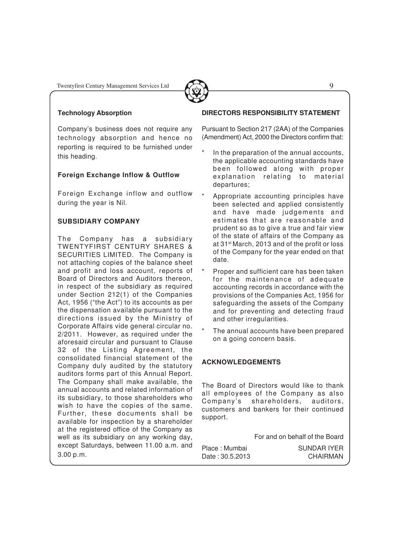

#### **Technology Absorption**

Company's business does not require any technology absorption and hence no reporting is required to be furnished under this heading.

# **Foreign Exchange Inflow & Outflow**

Foreign Exchange inflow and outflow during the year is Nil.

#### **SUBSIDIARY COMPANY**

The Company has a subsidiary TWENTYFIRST CENTURY SHARES & SECURITIES LIMITED. The Company is not attaching copies of the balance sheet and profit and loss account, reports of Board of Directors and Auditors thereon, in respect of the subsidiary as required under Section 212(1) of the Companies Act, 1956 ("the Act") to its accounts as per the dispensation available pursuant to the directions issued by the Ministry of Corporate Affairs vide general circular no. 2/2011. However, as required under the aforesaid circular and pursuant to Clause 32 of the Listing Agreement, the consolidated financial statement of the Company duly audited by the statutory auditors forms part of this Annual Report. The Company shall make available, the annual accounts and related information of its subsidiary, to those shareholders who wish to have the copies of the same. Further, these documents shall be available for inspection by a shareholder at the registered office of the Company as well as its subsidiary on any working day, except Saturdays, between 11.00 a.m. and 3.00 p.m.

# **DIRECTORS RESPONSIBILITY STATEMENT**

Pursuant to Section 217 (2AA) of the Companies (Amendment) Act, 2000 the Directors confirm that:

- In the preparation of the annual accounts, the applicable accounting standards have been followed along with proper explanation relating to material departures;
- Appropriate accounting principles have been selected and applied consistently and have made judgements and estimates that are reasonable and prudent so as to give a true and fair view of the state of affairs of the Company as at 31st March, 2013 and of the profit or loss of the Company for the year ended on that date.
- Proper and sufficient care has been taken for the maintenance of adequate accounting records in accordance with the provisions of the Companies Act, 1956 for safeguarding the assets of the Company and for preventing and detecting fraud and other irregularities.
- The annual accounts have been prepared on a going concern basis.

# **ACKNOWLEDGEMENTS**

The Board of Directors would like to thank all employees of the Company as also Company's shareholders, auditors, customers and bankers for their continued support.

For and on behalf of the Board

| Place: Mumbai   | SUNDAR IYER |
|-----------------|-------------|
| Date: 30.5.2013 | CHAIRMAN    |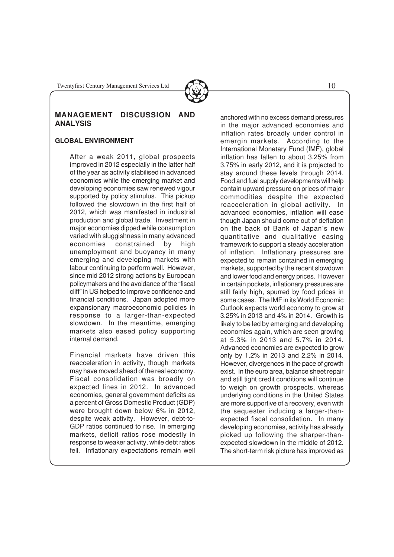

# **MANAGEMENT DISCUSSION AND ANALYSIS**

#### **GLOBAL ENVIRONMENT**

After a weak 2011, global prospects improved in 2012 especially in the latter half of the year as activity stabilised in advanced economics while the emerging market and developing economies saw renewed vigour supported by policy stimulus. This pickup followed the slowdown in the first half of 2012, which was manifested in industrial production and global trade. Investment in major economies dipped while consumption varied with sluggishness in many advanced economies constrained by high unemployment and buoyancy in many emerging and developing markets with labour continuing to perform well. However, since mid 2012 strong actions by European policymakers and the avoidance of the "fiscal cliff" in US helped to improve confidence and financial conditions. Japan adopted more expansionary macroeconomic policies in response to a larger-than-expected slowdown. In the meantime, emerging markets also eased policy supporting internal demand.

Financial markets have driven this reacceleration in activity, though markets may have moved ahead of the real economy. Fiscal consolidation was broadly on expected lines in 2012. In advanced economies, general government deficits as a percent of Gross Domestic Product (GDP) were brought down below 6% in 2012, despite weak activity. However, debt-to-GDP ratios continued to rise. In emerging markets, deficit ratios rose modestly in response to weaker activity, while debt ratios fell. Inflationary expectations remain well anchored with no excess demand pressures in the major advanced economies and inflation rates broadly under control in emergin markets. According to the International Monetary Fund (IMF), global inflation has fallen to about 3.25% from 3.75% in early 2012, and it is projected to stay around these levels through 2014. Food and fuel supply developments will help contain upward pressure on prices of major commodities despite the expected reacceleration in global activity. In advanced economies, inflation will ease though Japan should come out of deflation on the back of Bank of Japan's new quantitative and qualitative easing framework to support a steady acceleration of inflation. Inflationary pressures are expected to remain contained in emerging markets, supported by the recent slowdown and lower food and energy prices. However in certain pockets, inflationary pressures are still fairly high, spurred by food prices in some cases. The IMF in its World Economic Outlook expects world economy to grow at 3.25% in 2013 and 4% in 2014. Growth is likely to be led by emerging and developing economies again, which are seen growing at 5.3% in 2013 and 5.7% in 2014. Advanced economies are expected to grow only by 1.2% in 2013 and 2.2% in 2014. However, divergences in the pace of growth exist. In the euro area, balance sheet repair and still tight credit conditions will continue to weigh on growth prospects, whereas underlying conditions in the United States are more supportive of a recovery, even with the sequester inducing a larger-thanexpected fiscal consolidation. In many developing economies, activity has already picked up following the sharper-thanexpected slowdown in the middle of 2012. The short-term risk picture has improved as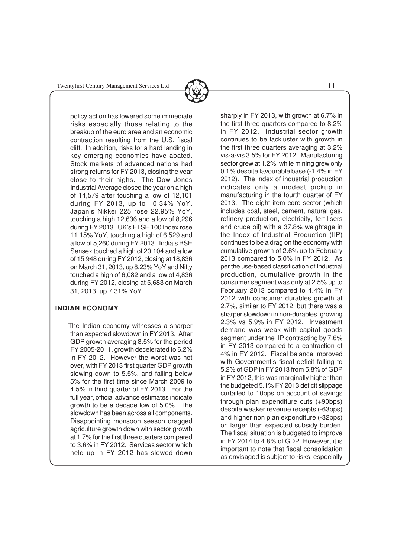

policy action has lowered some immediate risks especially those relating to the breakup of the euro area and an economic contraction resulting from the U.S. fiscal cliff. In addition, risks for a hard landing in key emerging economies have abated. Stock markets of advanced nations had strong returns for FY 2013, closing the year close to their highs. The Dow Jones Industrial Average closed the year on a high of 14,579 after touching a low of 12,101 during FY 2013, up to 10.34% YoY. Japan's Nikkei 225 rose 22.95% YoY, touching a high 12,636 and a low of 8,296 during FY 2013. UK's FTSE 100 Index rose 11.15% YoY, touching a high of 6,529 and a low of 5,260 during FY 2013. India's BSE Sensex touched a high of 20,104 and a low of 15,948 during FY 2012, closing at 18,836 on March 31, 2013, up 8.23% YoY and Nifty touched a high of 6,082 and a low of 4,836 during FY 2012, closing at 5,683 on March 31, 2013, up 7.31% YoY.

# **INDIAN ECONOMY**

 The Indian economy witnesses a sharper than expected slowdown in FY 2013. After GDP growth averaging 8.5% for the period FY 2005-2011, growth decelerated to 6.2% in FY 2012. However the worst was not over, with FY 2013 first quarter GDP growth slowing down to 5.5%, and falling below 5% for the first time since March 2009 to 4.5% in third quarter of FY 2013. For the full year, official advance estimates indicate growth to be a decade low of 5.0%. The slowdown has been across all components. Disappointing monsoon season dragged agriculture growth down with sector growth at 1.7% for the first three quarters compared to 3.6% in FY 2012. Services sector which held up in FY 2012 has slowed down

sharply in FY 2013, with growth at 6.7% in the first three quarters compared to 8.2% in FY 2012. Industrial sector growth continues to be lackluster with growth in the first three quarters averaging at 3.2% vis-a-vis 3.5% for FY 2012. Manufacturing sector grew at 1.2%, while mining grew only 0.1% despite favourable base (-1.4% in FY 2012). The index of industrial production indicates only a modest pickup in manufacturing in the fourth quarter of FY 2013. The eight item core sector (which includes coal, steel, cement, natural gas, refinery production, electricity, fertilisers and crude oil) with a 37.8% weightage in the Index of Industrial Production (IIP) continues to be a drag on the economy with cumulative growth of 2.6% up to February 2013 compared to 5.0% in FY 2012. As per the use-based classification of Industrial production, cumulative growth in the consumer segment was only at 2.5% up to February 2013 compared to 4.4% in FY 2012 with consumer durables growth at 2.7%, similar to FY 2012, but there was a sharper slowdown in non-durables, growing 2.3% vs 5.9% in FY 2012. Investment demand was weak with capital goods segment under the IIP contracting by 7.6% in FY 2013 compared to a contraction of 4% in FY 2012. Fiscal balance improved with Government's fiscal deficit falling to 5.2% of GDP in FY 2013 from 5.8% of GDP in FY 2012, this was marginally higher than the budgeted 5.1% FY 2013 deficit slippage curtailed to 10bps on account of savings through plan expenditure cuts (+90bps) despite weaker revenue receipts (-63bps) and higher non plan expenditure (-32bps) on larger than expected subsidy burden. The fiscal situation is budgeted to improve in FY 2014 to 4.8% of GDP. However, it is important to note that fiscal consolidation as envisaged is subject to risks; especially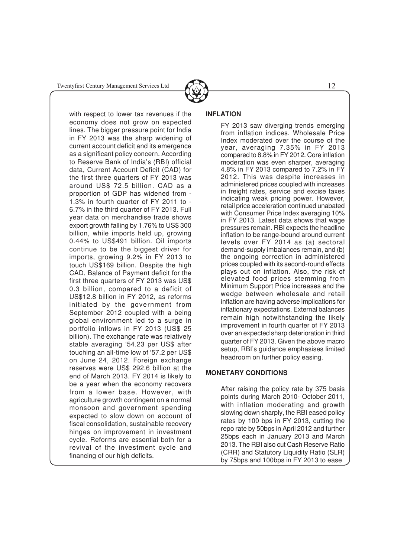with respect to lower tax revenues if the economy does not grow on expected lines. The bigger pressure point for India in FY 2013 was the sharp widening of current account deficit and its emergence as a significant policy concern. According to Reserve Bank of India's (RBI) official data, Current Account Deficit (CAD) for the first three quarters of FY 2013 was around US\$ 72.5 billion. CAD as a proportion of GDP has widened from - 1.3% in fourth quarter of FY 2011 to - 6.7% in the third quarter of FY 2013. Full year data on merchandise trade shows export growth falling by 1.76% to US\$ 300 billion, while imports held up, growing 0.44% to US\$491 billion. Oil imports continue to be the biggest driver for imports, growing 9.2% in FY 2013 to touch US\$169 billion. Despite the high CAD, Balance of Payment deficit for the first three quarters of FY 2013 was US\$ 0.3 billion, compared to a deficit of US\$12.8 billion in FY 2012, as reforms initiated by the government from September 2012 coupled with a being global environment led to a surge in portfolio inflows in FY 2013 (US\$ 25 billion). The exchange rate was relatively stable averaging '54.23 per US\$ after touching an all-time low of '57.2 per US\$ on June 24, 2012. Foreign exchange reserves were US\$ 292.6 billion at the end of March 2013. FY 2014 is likely to be a year when the economy recovers from a lower base. However, with agriculture growth contingent on a normal monsoon and government spending expected to slow down on account of fiscal consolidation, sustainable recovery hinges on improvement in investment cycle. Reforms are essential both for a revival of the investment cycle and financing of our high deficits.

#### **INFLATION**

FY 2013 saw diverging trends emerging from inflation indices. Wholesale Price Index moderated over the course of the year, averaging 7.35% in FY 2013 compared to 8.8% in FY 2012. Core inflation moderation was even sharper, averaging 4.8% in FY 2013 compared to 7.2% in FY 2012. This was despite increases in administered prices coupled with increases in freight rates, service and excise taxes indicating weak pricing power. However, retail price acceleration continued unabated with Consumer Price Index averaging 10% in FY 2013. Latest data shows that wage pressures remain. RBI expects the headline inflation to be range-bound around current levels over FY 2014 as (a) sectoral demand-supply imbalances remain, and (b) the ongoing correction in administered prices coupled with its second-round effects plays out on inflation. Also, the risk of elevated food prices stemming from Minimum Support Price increases and the wedge between wholesale and retail inflation are having adverse implications for inflationary expectations. External balances remain high notwithstanding the likely improvement in fourth quarter of FY 2013 over an expected sharp deterioration in third quarter of FY 2013. Given the above macro setup, RBI's guidance emphasises limited headroom on further policy easing.

#### **MONETARY CONDITIONS**

After raising the policy rate by 375 basis points during March 2010- October 2011, with inflation moderating and growth slowing down sharply, the RBI eased policy rates by 100 bps in FY 2013, cutting the repo rate by 50bps in April 2012 and further 25bps each in January 2013 and March 2013. The RBI also cut Cash Reserve Ratio (CRR) and Statutory Liquidity Ratio (SLR) by 75bps and 100bps in FY 2013 to ease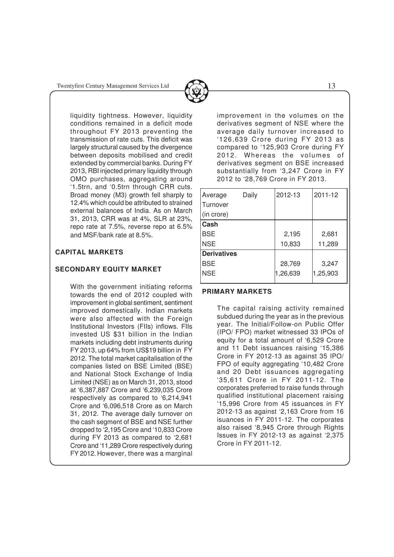liquidity tightness. However, liquidity conditions remained in a deficit mode throughout FY 2013 preventing the transmission of rate cuts. This deficit was largely structural caused by the divergence between deposits mobilised and credit extended by commercial banks. During FY 2013, RBI injected primary liquidity through OMO purchases, aggregating around '1.5trn, and '0.5trn through CRR cuts. Broad money (M3) growth fell sharply to 12.4% which could be attributed to strained external balances of India. As on March 31, 2013, CRR was at 4%, SLR at 23%, repo rate at 7.5%, reverse repo at 6.5% and MSF/bank rate at 8.5%.

# **CAPITAL MARKETS**

#### **SECONDARY EQUITY MARKET**

With the government initiating reforms towards the end of 2012 coupled with improvement in global sentiment, sentiment improved domestically. Indian markets were also affected with the Foreign Institutional Investors (FIIs) inflows. FIIs invested US \$31 billion in the Indian markets including debt instruments during FY 2013, up 64% from US\$19 billion in FY 2012. The total market capitalisation of the companies listed on BSE Limited (BSE) and National Stock Exchange of India Limited (NSE) as on March 31, 2013, stood at '6,387,887 Crore and '6,239,035 Crore respectively as compared to '6,214,941 Crore and '6,096,518 Crore as on March 31, 2012. The average daily turnover on the cash segment of BSE and NSE further dropped to '2,195 Crore and '10,833 Crore during FY 2013 as compared to '2,681 Crore and '11,289 Crore respectively during FY 2012. However, there was a marginal

improvement in the volumes on the derivatives segment of NSE where the average daily turnover increased to '126,639 Crore during FY 2013 as compared to '125,903 Crore during FY 2012. Whereas the volumes of derivatives segment on BSE increased substantially from '3,247 Crore in FY 2012 to '28,769 Crore in FY 2013.

| Average            | Daily | 2012-13  | 2011-12  |
|--------------------|-------|----------|----------|
| Turnover           |       |          |          |
| (in crore)         |       |          |          |
| Cash               |       |          |          |
| <b>BSE</b>         |       | 2,195    | 2,681    |
| <b>NSE</b>         |       | 10,833   | 11,289   |
| <b>Derivatives</b> |       |          |          |
| <b>BSE</b>         |       | 28,769   | 3,247    |
| <b>NSE</b>         |       | 1,26,639 | 1,25,903 |
|                    |       |          |          |

#### **PRIMARY MARKETS**

The capital raising activity remained subdued during the year as in the previous year. The Initial/Follow-on Public Offer (IPO/ FPO) market witnessed 33 IPOs of equity for a total amount of '6,529 Crore and 11 Debt issuances raising '15,386 Crore in FY 2012-13 as against 35 IPO/ FPO of equity aggregating '10,482 Crore and 20 Debt issuances aggregating '35,611 Crore in FY 2011-12. The corporates preferred to raise funds through qualified institutional placement raising '15,996 Crore from 45 issuances in FY 2012-13 as against '2,163 Crore from 16 isuances in FY 2011-12. The corporates also raised '8,945 Crore through Rights Issues in FY 2012-13 as against '2,375 Crore in FY 2011-12.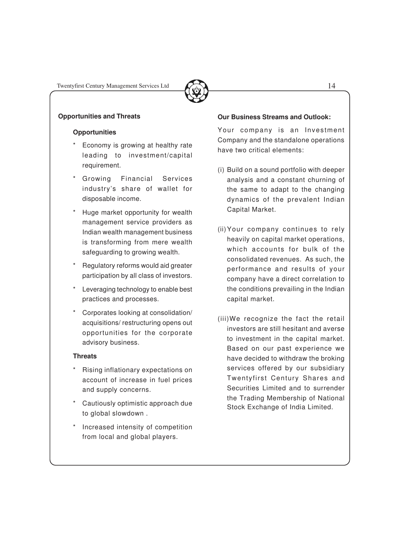

#### **Opportunities and Threats**

#### **Opportunities**

- Economy is growing at healthy rate leading to investment/capital requirement.
- Growing Financial Services industry's share of wallet for disposable income.
- Huge market opportunity for wealth management service providers as Indian wealth management business is transforming from mere wealth safeguarding to growing wealth.
- Regulatory reforms would aid greater participation by all class of investors.
- Leveraging technology to enable best practices and processes.
- Corporates looking at consolidation/ acquisitions/ restructuring opens out opportunities for the corporate advisory business.

# **Threats**

- Rising inflationary expectations on account of increase in fuel prices and supply concerns.
- Cautiously optimistic approach due to global slowdown .
- Increased intensity of competition from local and global players.

# **Our Business Streams and Outlook:**

Your company is an Investment Company and the standalone operations have two critical elements:

- (i) Build on a sound portfolio with deeper analysis and a constant churning of the same to adapt to the changing dynamics of the prevalent Indian Capital Market.
- (ii)Your company continues to rely heavily on capital market operations, which accounts for bulk of the consolidated revenues. As such, the performance and results of your company have a direct correlation to the conditions prevailing in the Indian capital market.
- (iii)We recognize the fact the retail investors are still hesitant and averse to investment in the capital market. Based on our past experience we have decided to withdraw the broking services offered by our subsidiary Twentyfirst Century Shares and Securities Limited and to surrender the Trading Membership of National Stock Exchange of India Limited.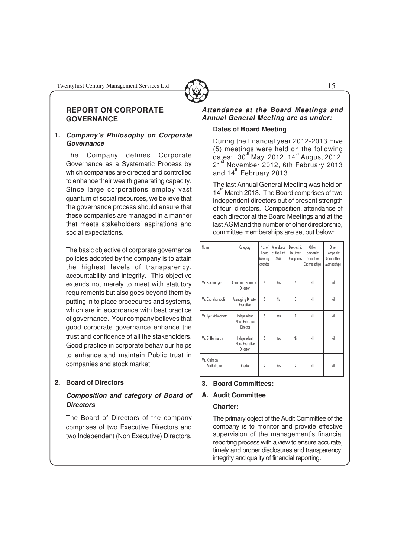Twentyfirst Century Management Services Ltd  $\sqrt{2\Delta}$  15



# **REPORT ON CORPORATE GOVERNANCE**

# **1. Company's Philosophy on Corporate Governance**

The Company defines Corporate Governance as a Systematic Process by which companies are directed and controlled to enhance their wealth generating capacity. Since large corporations employ vast quantum of social resources, we believe that the governance process should ensure that these companies are managed in a manner that meets stakeholders' aspirations and social expectations.

The basic objective of corporate governance policies adopted by the company is to attain the highest levels of transparency, accountability and integrity. This objective extends not merely to meet with statutory requirements but also goes beyond them by putting in to place procedures and systems, which are in accordance with best practice of governance. Your company believes that good corporate governance enhance the trust and confidence of all the stakeholders. Good practice in corporate behaviour helps to enhance and maintain Public trust in companies and stock market.

# **2. Board of Directors**

# **Composition and category of Board of Directors**

The Board of Directors of the company comprises of two Executive Directors and two Independent (Non Executive) Directors.

#### **Attendance at the Board Meetings and Annual General Meeting are as under:**

#### **Dates of Board Meeting**

During the financial year 2012-2013 Five (5) meetings were held on the following dates:  $30^{40}$  May 2012, 14<sup>th</sup> August 2012, 21<sup>st</sup> November 2012, 6th February 2013 and  $14^{\text{th}}$  February 2013.

The last Annual General Meeting was held on 14<sup>th</sup> March 2013. The Board comprises of two independent directors out of present strength of four directors. Composition, attendance of each director at the Board Meetings and at the last AGM and the number of other directorship, committee memberships are set out below:

| Name                       | Category                                 | No. of<br>Board<br>Meeting<br>attended | Attendance<br>at the Last<br>AGM | Directorship<br>in Other<br>Companies | Other<br>Companies<br>Committee<br>Chairmanships | Other<br>Companies<br>Committee<br>Memberships |
|----------------------------|------------------------------------------|----------------------------------------|----------------------------------|---------------------------------------|--------------------------------------------------|------------------------------------------------|
| Mr. Sundar Iyer            | Chairman-Executive<br>Director           | 5                                      | Yes                              | $\overline{4}$                        | Nil                                              | Nil                                            |
| Mr. Chandramouli           | <b>Managing Director</b><br>Executive    | $\overline{5}$                         | No                               | 3                                     | Nil                                              | Nil                                            |
| Mr. Iyer Vishwanath        | Independent<br>Non-Executive<br>Director | 5                                      | Yes                              | 1                                     | Nil                                              | Nil                                            |
| Mr. S. Hariharan           | Independent<br>Non-Executive<br>Director | 5                                      | Yes                              | Nil                                   | Nil                                              | Nil                                            |
| Mr. Krishnan<br>Muthukumar | Director                                 | $\overline{2}$                         | Yes                              | $\overline{2}$                        | Nil                                              | Nil                                            |

#### **3. Board Committees:**

# **A. Audit Committee**

#### **Charter:**

The primary object of the Audit Committee of the company is to monitor and provide effective supervision of the management's financial reporting process with a view to ensure accurate, timely and proper disclosures and transparency, integrity and quality of financial reporting.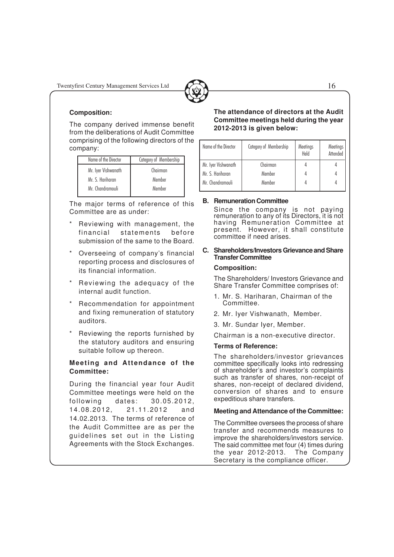

#### **Composition:**

The company derived immense benefit from the deliberations of Audit Committee comprising of the following directors of the company:

| Name of the Director            | Category of Membership |  |
|---------------------------------|------------------------|--|
| Mr. Iyer Vishwanath<br>Chairman |                        |  |
| Mr S Hariharan                  | Member                 |  |
| Mr. Chandramouli                | Member                 |  |
|                                 |                        |  |

The major terms of reference of this Committee are as under:

- Reviewing with management, the financial statements before submission of the same to the Board.
- Overseeing of company's financial reporting process and disclosures of its financial information.
- Reviewing the adequacy of the internal audit function.
- Recommendation for appointment and fixing remuneration of statutory auditors.
- Reviewing the reports furnished by the statutory auditors and ensuring suitable follow up thereon.

#### **Meeting and Attendance of the Committee:**

During the financial year four Audit Committee meetings were held on the following dates: 30.05.2012, 14.08.2012, 21.11.2012 and 14.02.2013. The terms of reference of the Audit Committee are as per the guidelines set out in the Listing Agreements with the Stock Exchanges.

#### **The attendance of directors at the Audit Committee meetings held during the year 2012-2013 is given below:**

| Category of Membership | Meetings<br>Held | Meetings<br>Attended |
|------------------------|------------------|----------------------|
| Chairman               |                  |                      |
| Member                 |                  |                      |
| Member                 |                  |                      |
|                        |                  |                      |

#### **B. Remuneration Committee**

Since the company is not paying remuneration to any of its Directors, it is not having Remuneration Committee at present. However, it shall constitute committee if need arises.

#### **C. Shareholders/Investors Grievance and Share Transfer Committee**

#### **Composition:**

The Shareholders/ Investors Grievance and Share Transfer Committee comprises of:

- 1. Mr. S. Hariharan, Chairman of the Committee.
- 2. Mr. Iyer Vishwanath, Member.
- 3. Mr. Sundar Iyer, Member.

Chairman is a non-executive director.

#### **Terms of Reference:**

The shareholders/investor grievances committee specifically looks into redressing of shareholder's and investor's complaints such as transfer of shares, non-receipt of shares, non-receipt of declared dividend, conversion of shares and to ensure expeditious share transfers.

# **Meeting and Attendance of the Committee:**

The Committee oversees the process of share transfer and recommends measures to improve the shareholders/investors service. The said committee met four (4) times during the year 2012-2013. The Company Secretary is the compliance officer.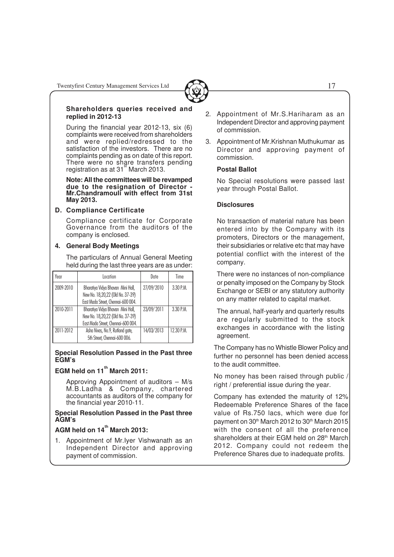Twentyfirst Century Management Services Ltd  $\mathbb{Z}^{\setminus}$ 



# **Shareholders queries received and replied in 2012-13**

During the financial year 2012-13, six (6) complaints were received from shareholders and were replied/redressed to the satisfaction of the investors. There are no complaints pending as on date of this report. There were no share transfers pending registration as at  $31<sup>st</sup>$  March 2013.

**Note: All the committees will be revamped due to the resignation of Director - Mr.Chandramouli with effect from 31st May 2013.**

# **D. Compliance Certificate**

Compliance certificate for Corporate Governance from the auditors of the company is enclosed.

# **4. General Body Meetings**

The particulars of Annual General Meeting held during the last three years are as under:

| Year      | Location                                                                                                    | Date       | Time       |
|-----------|-------------------------------------------------------------------------------------------------------------|------------|------------|
| 2009-2010 | Bharatiya Vidya Bhavan Mini Hall,<br>New No. 18,20,22 (Old No. 37-39)<br>East Mada Street, Chennai-600 004. | 27/09/2010 | 3.30 P.M.  |
| 2010-2011 | Bharatiya Vidya Bhavan Mini Hall,<br>New No. 18,20,22 (Old No. 37-39)<br>East Mada Street, Chennai-600 004. | 23/09/2011 | 3.30 P.M.  |
| 2011-2012 | Asha Nivas, No.9, Rutland gate,<br>5th Street, Chennai-600 006.                                             | 14/03/2013 | 12.30 P.M. |

#### **Special Resolution Passed in the Past three EGM's**

# **EGM held on 11th March 2011:**

Approving Appointment of auditors – M/s M.B.Ladha & Company, chartered accountants as auditors of the company for the financial year 2010-11.

#### **Special Resolution Passed in the Past three AGM's**

# **AGM held on 14th March 2013:**

1. Appointment of Mr.Iyer Vishwanath as an Independent Director and approving payment of commission.

- 2. Appointment of Mr.S.Hariharam as an Independent Director and approving payment of commission.
- 3. Appointment of Mr.Krishnan Muthukumar as Director and approving payment of commission.

#### **Postal Ballot**

No Special resolutions were passed last year through Postal Ballot.

# **Disclosures**

No transaction of material nature has been entered into by the Company with its promoters, Directors or the management, their subsidiaries or relative etc that may have potential conflict with the interest of the company.

There were no instances of non-compliance or penalty imposed on the Company by Stock Exchange or SEBI or any statutory authority on any matter related to capital market.

The annual, half-yearly and quarterly results are regularly submitted to the stock exchanges in accordance with the listing agreement.

The Company has no Whistle Blower Policy and further no personnel has been denied access to the audit committee.

No money has been raised through public right / preferential issue during the year.

Company has extended the maturity of 12% Redeemable Preference Shares of the face value of Rs.750 lacs, which were due for payment on 30th March 2012 to 30th March 2015 with the consent of all the preference shareholders at their EGM held on 28<sup>th</sup> March 2012. Company could not redeem the Preference Shares due to inadequate profits.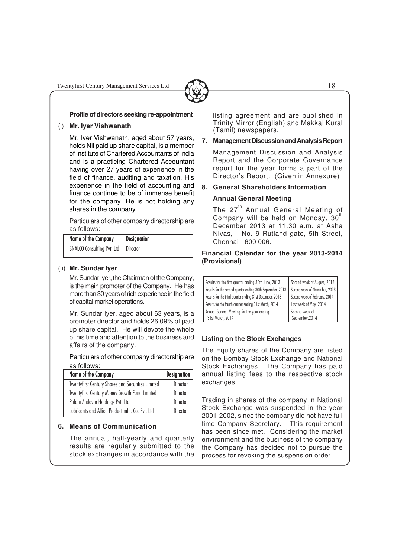

#### **Profile of directors seeking re-appointment**

#### (i) **Mr. Iyer Vishwanath**

Mr. Iyer Vishwanath, aged about 57 years, holds Nil paid up share capital, is a member of Institute of Chartered Accountants of India and is a practicing Chartered Accountant having over 27 years of experience in the field of finance, auditing and taxation. His experience in the field of accounting and finance continue to be of immense benefit for the company. He is not holding any shares in the company.

Particulars of other company directorship are as follows:

| Name of the Company        | <b>Designation</b> |
|----------------------------|--------------------|
| SNALCO Consulting Pvt. Ltd | Director           |

#### (ii) **Mr. Sundar Iyer**

Mr. Sundar Iyer, the Chairman of the Company, is the main promoter of the Company. He has more than 30 years of rich experience in the field of capital market operations.

Mr. Sundar Iyer, aged about 63 years, is a promoter director and holds 26.09% of paid up share capital. He will devote the whole of his time and attention to the business and affairs of the company.

Particulars of other company directorship are as follows:

| <b>Name of the Company</b>                               | <b>Designation</b> |
|----------------------------------------------------------|--------------------|
| <b>Twentyfirst Century Shares and Securities Limited</b> | Director           |
| Twentyfirst Century Money Growth Fund Limited            | Director           |
| Palani Andavar Holdings Pvt. Ltd                         | Director           |
| Lubricants and Allied Product mfg. Co. Pvt. Ltd          | Director           |

#### **6. Means of Communication**

The annual, half-yearly and quarterly results are regularly submitted to the stock exchanges in accordance with the listing agreement and are published in Trinity Mirror (English) and Makkal Kural (Tamil) newspapers.

#### **7. Management Discussion and Analysis Report**

Management Discussion and Analysis Report and the Corporate Governance report for the year forms a part of the Director's Report. (Given in Annexure)

# **8. General Shareholders Information**

# **Annual General Meeting**

The 27<sup>th</sup> Annual General Meeting of Company will be held on Monday,  $30<sup>th</sup>$ December 2013 at 11.30 a.m. at Asha Nivas, No. 9 Rutland gate, 5th Street, Chennai - 600 006.

#### **Financial Calendar for the year 2013-2014 (Provisional)**

| Results for the first quarter ending 30th June, 2013       | Second week of August, 2013   |
|------------------------------------------------------------|-------------------------------|
| Results for the second quarter ending 30th September, 2013 | Second week of November, 2013 |
| Results for the third quarter ending 31st December, 2013   | Second week of February, 2014 |
| Results for the fourth quarter ending 31st March, 2014     | Last week of May, 2014        |
| Annual General Meeting for the year ending                 | Second week of                |
| 31st March, 2014                                           | September, 2014               |

#### **Listing on the Stock Exchanges**

The Equity shares of the Company are listed on the Bombay Stock Exchange and National Stock Exchanges. The Company has paid annual listing fees to the respective stock exchanges.

Trading in shares of the company in National Stock Exchange was suspended in the year 2001-2002, since the company did not have full time Company Secretary. This requirement has been since met. Considering the market environment and the business of the company the Company has decided not to pursue the process for revoking the suspension order.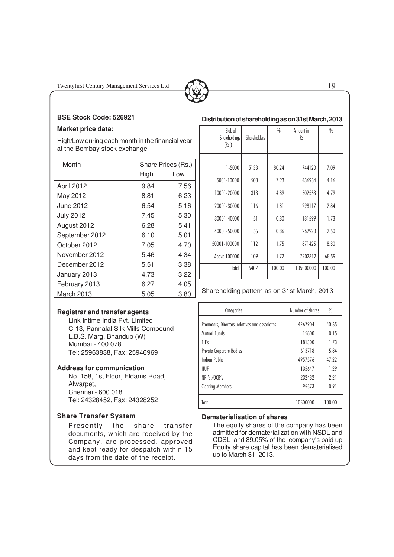

#### **BSE Stock Code: 526921**

#### **Market price data:**

High/Low during each month in the financial year at the Bombay stock exchange

| Month            | Share Prices (Rs.) |      |  |
|------------------|--------------------|------|--|
|                  | High               | Low  |  |
| April 2012       | 9.84               | 7.56 |  |
| May 2012         | 8.81               | 6.23 |  |
| June 2012        | 6.54               | 5.16 |  |
| <b>July 2012</b> | 7.45               | 5.30 |  |
| August 2012      | 6.28               | 5.41 |  |
| September 2012   | 6.10               | 5.01 |  |
| October 2012     | 7.05               | 4.70 |  |
| November 2012    | 5.46               | 4.34 |  |
| December 2012    | 5.51               | 3.38 |  |
| January 2013     | 4.73               | 3.22 |  |
| February 2013    | 6.27               | 4.05 |  |
| March 2013       | 5.05               | 3.80 |  |

| <b>Registrar and transfer agents</b> |  |  |
|--------------------------------------|--|--|

Link Intime India Pvt. Limited C-13, Pannalal Silk Mills Compound L.B.S. Marg, Bhandup (W) Mumbai - 400 078. Tel: 25963838, Fax: 25946969

# **Address for communication**

No. 158, 1st Floor, Eldams Road, Alwarpet, Chennai - 600 018. Tel: 24328452, Fax: 24328252

# **Share Transfer System**

Presently the share transfer documents, which are received by the Company, are processed, approved and kept ready for despatch within 15 days from the date of the receipt.

| Slab of<br><b>Shareholdings</b><br>(Rs.) | <b>Shareholders</b> | $\frac{0}{0}$ | Amount in<br>Rs. | $\frac{0}{0}$ |
|------------------------------------------|---------------------|---------------|------------------|---------------|
| $1 - 5000$                               | 5138                | 80.24         | 744120           | 7.09          |
| 5001-10000                               | 508                 | 7.93          | 436954           | 4.16          |
| 10001-20000                              | 313                 | 4.89          | 502553           | 4.79          |
| 20001-30000                              | 116                 | 1.81          | 298117           | 2.84          |
| 30001-40000                              | 51                  | 0.80          | 181599           | 1.73          |
| 40001-50000                              | 55                  | 0.86          | 262920           | 2.50          |
| 50001-100000                             | 112                 | 175           | 871425           | 8.30          |
| Above 100000                             | 109                 | 1.72          | 7202312          | 68.59         |

**Distribution of shareholding as on 31st March, 2013**

# Shareholding pattern as on 31st March, 2013

Total 6402 100.00 105000000 100.00

| Categories                                     | Number of shares | $\%$   |
|------------------------------------------------|------------------|--------|
| Promoters, Directors, relatives and associates | 4267904          | 40.65  |
| Mutual Funds                                   | 15800            | 0.15   |
| FII's                                          | 181300           | 1.73   |
| Private Corporate Bodies                       | 613718           | 5.84   |
| Indian Public                                  | 4957576          | 47.22  |
| HUF                                            | 135647           | 1.29   |
| NRI's /OCB's                                   | 232482           | 221    |
| <b>Clearing Members</b>                        | 95573            | 0.91   |
| <b>Total</b>                                   | 10500000         | 100.00 |

# **Dematerialisation of shares**

The equity shares of the company has been admitted for dematerialization with NSDL and CDSL and 89.05% of the company's paid up Equity share capital has been dematerialised up to March 31, 2013.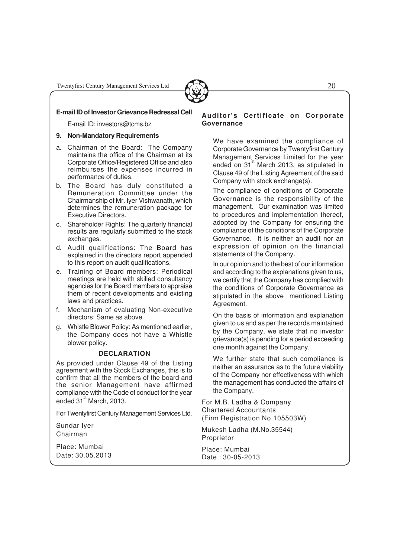

#### **E-mail ID of Investor Grievance Redressal Cell**

E-mail ID: investors@tcms.bz

#### **9. Non-Mandatory Requirements**

- a. Chairman of the Board: The Company maintains the office of the Chairman at its Corporate Office/Registered Office and also reimburses the expenses incurred in performance of duties.
- b. The Board has duly constituted a Remuneration Committee under the Chairmanship of Mr. Iyer Vishwanath, which determines the remuneration package for Executive Directors.
- c. Shareholder Rights: The quarterly financial results are regularly submitted to the stock exchanges.
- d. Audit qualifications: The Board has explained in the directors report appended to this report on audit qualifications.
- e. Training of Board members: Periodical meetings are held with skilled consultancy agencies for the Board members to appraise them of recent developments and existing laws and practices.
- f. Mechanism of evaluating Non-executive directors: Same as above.
- g. Whistle Blower Policy: As mentioned earlier, the Company does not have a Whistle blower policy.

#### **DECLARATION**

As provided under Clause 49 of the Listing agreement with the Stock Exchanges, this is to confirm that all the members of the board and the senior Management have affirmed compliance with the Code of conduct for the year ended  $31<sup>st</sup>$  March, 2013.

For Twentyfirst Century Management Services Ltd.

Sundar Iyer Chairman

Place: Mumbai Date: 30.05.2013

#### **Auditor's Certificate on Corporate Governance**

We have examined the compliance of Corporate Governance by Twentyfirst Century Management Services Limited for the year ended on  $31<sup>st</sup>$  March 2013, as stipulated in Clause 49 of the Listing Agreement of the said Company with stock exchange(s).

The compliance of conditions of Corporate Governance is the responsibility of the management. Our examination was limited to procedures and implementation thereof, adopted by the Company for ensuring the compliance of the conditions of the Corporate Governance. It is neither an audit nor an expression of opinion on the financial statements of the Company.

In our opinion and to the best of our information and according to the explanations given to us, we certify that the Company has complied with the conditions of Corporate Governance as stipulated in the above mentioned Listing Agreement.

On the basis of information and explanation given to us and as per the records maintained by the Company, we state that no investor grievance(s) is pending for a period exceeding one month against the Company.

We further state that such compliance is neither an assurance as to the future viability of the Company nor effectiveness with which the management has conducted the affairs of the Company.

For M.B. Ladha & Company Chartered Accountants (Firm Registration No.105503W)

Mukesh Ladha (M.No.35544) Proprietor

Place: Mumbai Date : 30-05-2013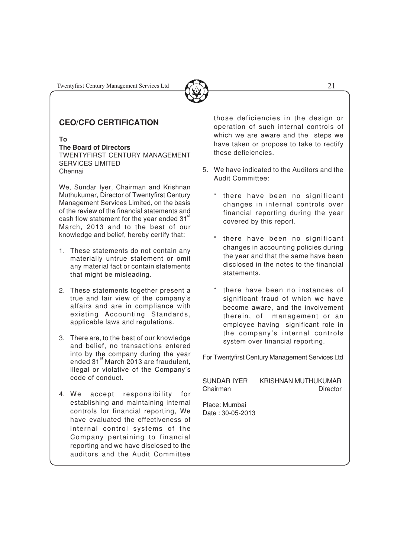Twentyfirst Century Management Services Ltd  $\sqrt{2\Delta}$  21



# **CEO/CFO CERTIFICATION**

**To**

#### **The Board of Directors**

TWENTYFIRST CENTURY MANAGEMENT SERVICES LIMITED Chennai

We, Sundar Iyer, Chairman and Krishnan Muthukumar, Director of Twentyfirst Century Management Services Limited, on the basis of the review of the financial statements and cash flow statement for the year ended  $31<sup>s</sup>$ March, 2013 and to the best of our knowledge and belief, hereby certify that:

- 1. These statements do not contain any materially untrue statement or omit any material fact or contain statements that might be misleading.
- 2. These statements together present a true and fair view of the company's affairs and are in compliance with existing Accounting Standards, applicable laws and regulations.
- 3. There are, to the best of our knowledge and belief, no transactions entered into by the company during the year ended 31<sup>st</sup> March 2013 are fraudulent, illegal or violative of the Company's code of conduct.
- 4. We accept responsibility for establishing and maintaining internal controls for financial reporting, We have evaluated the effectiveness of internal control systems of the Company pertaining to financial reporting and we have disclosed to the auditors and the Audit Committee

those deficiencies in the design or operation of such internal controls of which we are aware and the steps we have taken or propose to take to rectify these deficiencies.

- 5. We have indicated to the Auditors and the Audit Committee:
	- there have been no significant changes in internal controls over financial reporting during the year covered by this report.
	- there have been no significant changes in accounting policies during the year and that the same have been disclosed in the notes to the financial statements.
	- there have been no instances of significant fraud of which we have become aware, and the involvement therein, of management or an employee having significant role in the company's internal controls system over financial reporting.

For Twentyfirst Century Management Services Ltd

SUNDAR IYER KRISHNAN MUTHUKUMAR Chairman Director

Place: Mumbai Date : 30-05-2013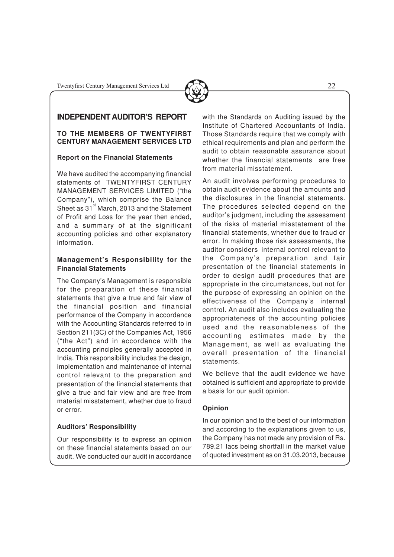Twentyfirst Century Management Services Ltd  $\sqrt{2\Delta}$  22



# **INDEPENDENT AUDITOR'S REPORT**

# **TO THE MEMBERS OF TWENTYFIRST CENTURY MANAGEMENT SERVICES LTD**

#### **Report on the Financial Statements**

We have audited the accompanying financial statements of TWENTYFIRST CENTURY MANAGEMENT SERVICES LIMITED ("the Company"), which comprise the Balance Sheet as  $31^{\text{st}}$  March, 2013 and the Statement of Profit and Loss for the year then ended, and a summary of at the significant accounting policies and other explanatory information.

#### **Management's Responsibility for the Financial Statements**

The Company's Management is responsible for the preparation of these financial statements that give a true and fair view of the financial position and financial performance of the Company in accordance with the Accounting Standards referred to in Section 211(3C) of the Companies Act, 1956 ("the Act") and in accordance with the accounting principles generally accepted in India. This responsibility includes the design, implementation and maintenance of internal control relevant to the preparation and presentation of the financial statements that give a true and fair view and are free from material misstatement, whether due to fraud or error.

#### **Auditors' Responsibility**

Our responsibility is to express an opinion on these financial statements based on our audit. We conducted our audit in accordance

with the Standards on Auditing issued by the Institute of Chartered Accountants of India. Those Standards require that we comply with ethical requirements and plan and perform the audit to obtain reasonable assurance about whether the financial statements are free from material misstatement.

An audit involves performing procedures to obtain audit evidence about the amounts and the disclosures in the financial statements. The procedures selected depend on the auditor's judgment, including the assessment of the risks of material misstatement of the financial statements, whether due to fraud or error. In making those risk assessments, the auditor considers internal control relevant to the Company's preparation and fair presentation of the financial statements in order to design audit procedures that are appropriate in the circumstances, but not for the purpose of expressing an opinion on the effectiveness of the Company's internal control. An audit also includes evaluating the appropriateness of the accounting policies used and the reasonableness of the accounting estimates made by the Management, as well as evaluating the overall presentation of the financial statements.

We believe that the audit evidence we have obtained is sufficient and appropriate to provide a basis for our audit opinion.

#### **Opinion**

In our opinion and to the best of our information and according to the explanations given to us, the Company has not made any provision of Rs. 789.21 lacs being shortfall in the market value of quoted investment as on 31.03.2013, because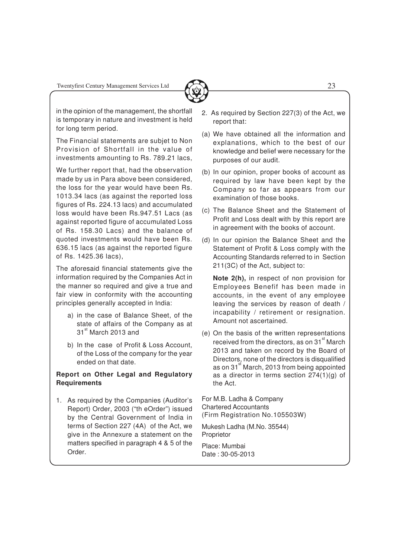Twentyfirst Century Management Services Ltd  $\sqrt{24}$  23



in the opinion of the management, the shortfall is temporary in nature and investment is held for long term period.

The Financial statements are subjet to Non Provision of Shortfall in the value of investments amounting to Rs. 789.21 lacs,

We further report that, had the observation made by us in Para above been considered, the loss for the year would have been Rs. 1013.34 lacs (as against the reported loss figures of Rs. 224.13 lacs) and accumulated loss would have been Rs.947.51 Lacs (as against reported figure of accumulated Loss of Rs. 158.30 Lacs) and the balance of quoted investments would have been Rs. 636.15 lacs (as against the reported figure of Rs. 1425.36 lacs),

The aforesaid financial statements give the information required by the Companies Act in the manner so required and give a true and fair view in conformity with the accounting principles generally accepted in India:

- a) in the case of Balance Sheet, of the state of affairs of the Company as at  $31<sup>st</sup>$  March 2013 and
- b) In the case of Profit & Loss Account, of the Loss of the company for the year ended on that date.

# **Report on Other Legal and Regulatory Requirements**

1. As required by the Companies (Auditor's Report) Order, 2003 ("th eOrder") issued by the Central Government of India in terms of Section 227 (4A) of the Act, we give in the Annexure a statement on the matters specified in paragraph 4 & 5 of the Order.

- 2. As required by Section 227(3) of the Act, we report that:
- (a) We have obtained all the information and explanations, which to the best of our knowledge and belief were necessary for the purposes of our audit.
- (b) In our opinion, proper books of account as required by law have been kept by the Company so far as appears from our examination of those books.
- (c) The Balance Sheet and the Statement of Profit and Loss dealt with by this report are in agreement with the books of account.
- (d) In our opinion the Balance Sheet and the Statement of Profit & Loss comply with the Accounting Standards referred to in Section 211(3C) of the Act, subject to:

**Note 2(h),** in respect of non provision for Employees Benefif has been made in accounts, in the event of any employee leaving the services by reason of death / incapability / retirement or resignation. Amount not ascertained.

(e) On the basis of the written representations received from the directors, as on 31<sup>st</sup> March 2013 and taken on record by the Board of Directors, none of the directors is disqualified as on 31<sup>st</sup> March, 2013 from being appointed as a director in terms section 274(1)(g) of the Act.

For M.B. Ladha & Company Chartered Accountants (Firm Registration No.105503W)

Mukesh Ladha (M.No. 35544) Proprietor

Place: Mumbai Date : 30-05-2013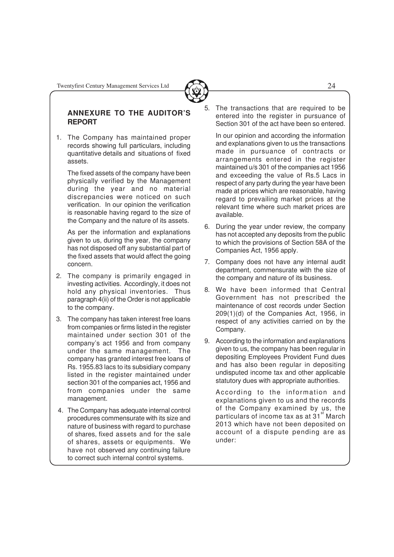Twentyfirst Century Management Services Ltd  $\mathbb{Z}^4$ 



# **ANNEXURE TO THE AUDITOR'S REPORT**

1. The Company has maintained proper records showing full particulars, including quantitative details and situations of fixed assets.

The fixed assets of the company have been physically verified by the Management during the year and no material discrepancies were noticed on such verification. In our opinion the verification is reasonable having regard to the size of the Company and the nature of its assets.

As per the information and explanations given to us, during the year, the company has not disposed off any substantial part of the fixed assets that would affect the going concern.

- 2. The company is primarily engaged in investing activities. Accordingly, it does not hold any physical inventories. Thus paragraph 4(ii) of the Order is not applicable to the company.
- 3. The company has taken interest free loans from companies or firms listed in the register maintained under section 301 of the company's act 1956 and from company under the same management. The company has granted interest free loans of Rs. 1955.83 lacs to its subsidiary company listed in the register maintained under section 301 of the companies act, 1956 and from companies under the same management.
- 4. The Company has adequate internal control procedures commensurate with its size and nature of business with regard to purchase of shares, fixed assets and for the sale of shares, assets or equipments. We have not observed any continuing failure to correct such internal control systems.

5. The transactions that are required to be entered into the register in pursuance of Section 301 of the act have been so entered.

In our opinion and according the information and explanations given to us the transactions made in pursuance of contracts or arrangements entered in the register maintained u/s 301 of the companies act 1956 and exceeding the value of Rs.5 Lacs in respect of any party during the year have been made at prices which are reasonable, having regard to prevailing market prices at the relevant time where such market prices are available.

- 6. During the year under review, the company has not accepted any deposits from the public to which the provisions of Section 58A of the Companies Act, 1956 apply.
- 7. Company does not have any internal audit department, commensurate with the size of the company and nature of its business.
- 8. We have been informed that Central Government has not prescribed the maintenance of cost records under Section 209(1)(d) of the Companies Act, 1956, in respect of any activities carried on by the Company.
- 9. According to the information and explanations given to us, the company has been regular in depositing Employees Provident Fund dues and has also been regular in depositing undisputed income tax and other applicable statutory dues with appropriate authorities.

According to the information and explanations given to us and the records of the Company examined by us, the particulars of income tax as at  $31<sup>st</sup>$  March 2013 which have not been deposited on account of a dispute pending are as under: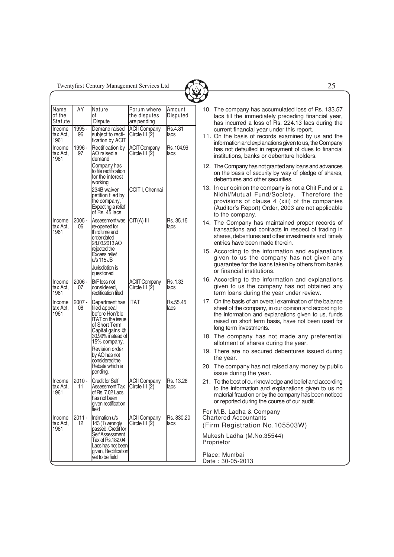Twentyfirst Century Management Services Ltd  $\sqrt{25}$ 

| Name<br>of the<br><b>Statute</b> | AY             | Nature<br>οf<br><b>Dispute</b>                                                                                                                                                           | Forum where<br>the disputes<br>are pending | Amount<br>Disputed |
|----------------------------------|----------------|------------------------------------------------------------------------------------------------------------------------------------------------------------------------------------------|--------------------------------------------|--------------------|
| Income<br>tax Act.<br>1961       | 1995 -<br>96   | Demand raised<br>subject to recti-<br>fication by ACIT                                                                                                                                   | <b>ACII Company</b><br>Circle III (2)      | Rs.4.81<br>lacs    |
| Income<br>tax Act.<br>1961       | 1996 -<br>97   | Rectification by<br>AO raised a<br>demand<br>Company has<br>to file rectification<br>for the interest<br>working                                                                         | <b>ACIT Company</b><br>Circle III (2)      | Rs. 104.96<br>lacs |
|                                  |                | 234B waiver<br>petition filed by<br>the company,<br>Expecting a relief<br>of Rs. 45 lacs                                                                                                 | CCIT I, Chennai                            |                    |
| Income<br>tax Act.<br>1961       | $2005 -$<br>06 | Assessment was<br>re-opened for<br>third time and<br>order dated<br>28.03.2013 AO<br>rejected the<br>Excess relief<br>u/s 115 JB                                                         | $CIT(A)$ III                               | Rs. 35.15<br>lacs  |
|                                  |                | Jurisdiction is<br>questioned                                                                                                                                                            |                                            |                    |
| Income<br>tax Act.<br>1961       | $2006 -$<br>07 | B/F loss not<br>considered.<br>rectification filed                                                                                                                                       | <b>ACIIT Company</b><br>Circle III (2)     | Rs. 1.33<br>lacs   |
| Income<br>tax Act.<br>1961       | 2007 -<br>08   | Department has<br>filed appeal<br>before Hon'ble<br><b>ITAT</b> on the issue<br>of Short Term<br>Capital gains @<br>30.99% instead of<br>15% company.<br>Revision order<br>by AO has not | <b>ITAT</b>                                | Rs.55.45<br>lacs   |
|                                  |                | considered the<br>Rebate which is<br>pendina.                                                                                                                                            |                                            |                    |
| Income<br>tax Act.<br>1961       | $2010 -$<br>11 | <b>Credit for Self</b><br>Assessment Tax<br>of Hs. <i>I</i> .02 Lacs<br>has not been<br>given, rectification<br>field                                                                    | <b>ACII Company</b><br>Circle III (2)      | Rs. 13.28<br>lacs  |
| Income<br>tax Act.<br>1961       | 2011 -<br>12   | Intimation u/s<br>143 (1) wrongly<br>passed, Credit for<br>Self Assessment<br>Tax of Rs.182.04<br>Lacs has not been<br>given, Rectification<br>yet to be field                           | <b>ACII Company</b><br>Circle III (2)      | Rs. 830.20<br>lacs |

- 10. The company has accumulated loss of Rs. 133.57 lacs till the immediately preceding financial year, has incurred a loss of Rs. 224.13 lacs during the current financial year under this report.
- 11. On the basis of records examined by us and the information and explanations given to us, the Company has not defaulted in repayment of dues to financial institutions, banks or debenture holders.
- 12. The Company has not granted any loans and advances on the basis of security by way of pledge of shares, debentures and other securities.
- 13. In our opinion the company is not a Chit Fund or a Nidhi/Mutual Fund/Society. Therefore the provisions of clause 4 (xiii) of the companies (Auditor's Report) Order, 2003 are not applicable to the company.
- 14. The Company has maintained proper records of transactions and contracts in respect of trading in shares, debentures and other investments and timely entries have been made therein.
- 15. According to the information and explanations given to us the company has not given any guarantee for the loans taken by others from banks or financial institutions.
- 16. According to the information and explanations given to us the company has not obtained any term loans during the year under review.
- 17. On the basis of an overall examination of the balance sheet of the company, in our opinion and according to the information and explanations given to us, funds raised on short term basis, have not been used for long term investments.
- 18. The company has not made any preferential allotment of shares during the year.
- 19. There are no secured debentures issued during the year.
- 20. The company has not raised any money by public issue during the year.
- 21. To the best of our knowledge and belief and according to the information and explanations given to us no material fraud on or by the company has been noticed or reported during the course of our audit.

For M.B. Ladha & Company Chartered Accountants (Firm Registration No.105503W)

Mukesh Ladha (M.No.35544) Proprietor

Place: Mumbai Date : 30-05-2013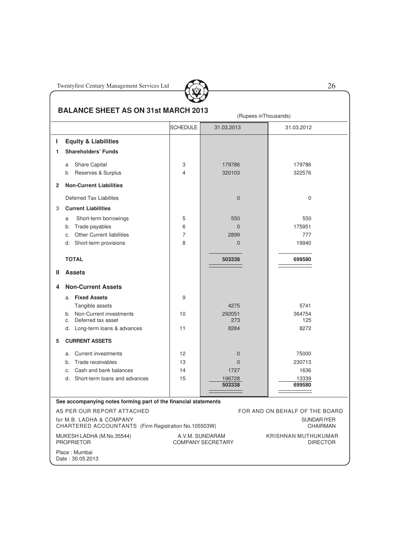

# **BALANCE SHEET AS ON 31st MARCH 2013**

|                |                                                                                  |                 | (Rupees inThousands)                        |                                        |  |  |
|----------------|----------------------------------------------------------------------------------|-----------------|---------------------------------------------|----------------------------------------|--|--|
|                |                                                                                  | <b>SCHEDULE</b> | 31.03.2013                                  | 31.03.2012                             |  |  |
| ı              | <b>Equity &amp; Liabilities</b>                                                  |                 |                                             |                                        |  |  |
| 1              | <b>Shareholders' Funds</b>                                                       |                 |                                             |                                        |  |  |
|                | Share Capital<br>a                                                               | 3               | 179786                                      | 179786                                 |  |  |
|                | Reserves & Surplus<br>b                                                          | 4               | 320103                                      | 322576                                 |  |  |
| $\overline{2}$ | <b>Non-Current Liabilities</b>                                                   |                 |                                             |                                        |  |  |
|                | Deferred Tax Liabilites                                                          |                 | $\mathbf 0$                                 | 0                                      |  |  |
| 3              | <b>Current Liabilities</b>                                                       |                 |                                             |                                        |  |  |
|                | Short-term borrowings<br>a                                                       | 5               | 550                                         | 550                                    |  |  |
|                | Trade payables<br>b.                                                             | 6               | $\overline{0}$                              | 175951                                 |  |  |
|                | <b>Other Current liabilities</b><br>C.                                           | $\overline{7}$  | 2899                                        | 777                                    |  |  |
|                | d. Short-term provisions                                                         | 8               | $\overline{0}$                              | 19940                                  |  |  |
|                |                                                                                  |                 |                                             |                                        |  |  |
|                | <b>TOTAL</b>                                                                     |                 | 503338                                      | 699580                                 |  |  |
| Ш              | <b>Assets</b>                                                                    |                 |                                             |                                        |  |  |
| 4              | <b>Non-Current Assets</b>                                                        |                 |                                             |                                        |  |  |
|                | a. Fixed Assets                                                                  | 9               |                                             |                                        |  |  |
|                | Tangible assets                                                                  |                 | 4275                                        | 5741                                   |  |  |
|                | b. Non-Current investments                                                       | 10              | 292051                                      | 364754                                 |  |  |
|                | Deferred tax asset<br>C.                                                         |                 | 273                                         | 125                                    |  |  |
|                | d. Long-term loans & advances                                                    | 11              | 8284                                        | 8272                                   |  |  |
| 5              | <b>CURRENT ASSETS</b>                                                            |                 |                                             |                                        |  |  |
|                | <b>Current investments</b><br>a.                                                 | 12              | $\pmb{0}$                                   | 75000                                  |  |  |
|                | Trade receivables<br>b.                                                          | 13              | $\mathbf{0}$                                | 230713                                 |  |  |
|                | Cash and bank balances<br>C.                                                     | 14              | 1727                                        | 1636                                   |  |  |
|                | d. Short-term loans and advances                                                 | 15              | 196728                                      | 13339                                  |  |  |
|                |                                                                                  |                 | 503338                                      | 699580                                 |  |  |
|                |                                                                                  |                 |                                             |                                        |  |  |
|                | See accompanying notes forming part of the financial statements                  |                 |                                             |                                        |  |  |
|                | AS PER OUR REPORT ATTACHED                                                       |                 |                                             | FOR AND ON BEHALF OF THE BOARD         |  |  |
|                | for M.B. LADHA & COMPANY<br>CHARTERED ACCOUNTANTS (Firm Registration No.105503W) |                 |                                             | <b>SUNDAR IYER</b><br>CHAIRMAN         |  |  |
|                | MUKESH LADHA (M.No.35544)<br><b>PROPRIETOR</b>                                   |                 | A.V.M. SUNDARAM<br><b>COMPANY SECRETARY</b> | KRISHNAN MUTHUKUMAR<br><b>DIRECTOR</b> |  |  |
|                | Place: Mumbai<br>Date: 30.05.2013                                                |                 |                                             |                                        |  |  |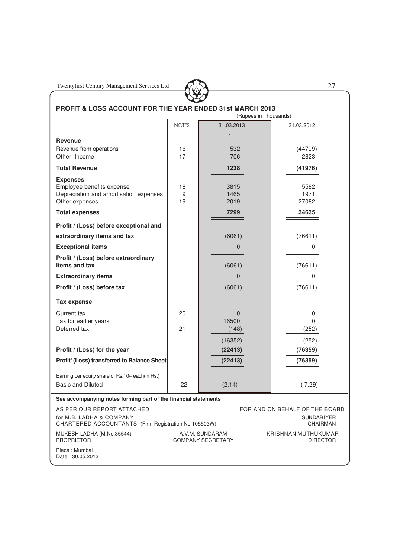

| <b>PROFIT &amp; LOSS ACCOUNT FOR THE YEAR ENDED 31st MARCH 2013</b><br>(Rupees in Thousands)             |                                                                                                                                 |                                                                                       |                          |  |  |
|----------------------------------------------------------------------------------------------------------|---------------------------------------------------------------------------------------------------------------------------------|---------------------------------------------------------------------------------------|--------------------------|--|--|
|                                                                                                          | <b>NOTES</b>                                                                                                                    | 31.03.2013                                                                            | 31.03.2012               |  |  |
| <b>Revenue</b><br>Revenue from operations<br>Other Income                                                | 16<br>17                                                                                                                        | 532<br>706                                                                            | (44799)<br>2823          |  |  |
| <b>Total Revenue</b>                                                                                     |                                                                                                                                 | 1238                                                                                  | (41976)                  |  |  |
| <b>Expenses</b><br>Employee benefits expense<br>Depreciation and amortisation expenses<br>Other expenses | 18<br>9<br>19                                                                                                                   | 3815<br>1465<br>2019                                                                  | 5582<br>1971<br>27082    |  |  |
| <b>Total expenses</b>                                                                                    |                                                                                                                                 | 7299                                                                                  | 34635                    |  |  |
| Profit / (Loss) before exceptional and                                                                   |                                                                                                                                 |                                                                                       |                          |  |  |
| extraordinary items and tax                                                                              |                                                                                                                                 | (6061)                                                                                | (76611)                  |  |  |
| <b>Exceptional items</b>                                                                                 |                                                                                                                                 | 0                                                                                     | 0                        |  |  |
| Profit / (Loss) before extraordinary<br>items and tax                                                    |                                                                                                                                 | (6061)                                                                                | (76611)                  |  |  |
| <b>Extraordinary items</b>                                                                               |                                                                                                                                 | $\Omega$                                                                              | 0                        |  |  |
| Profit / (Loss) before tax                                                                               |                                                                                                                                 | (6061)                                                                                | (76611)                  |  |  |
| <b>Tax expense</b>                                                                                       |                                                                                                                                 |                                                                                       |                          |  |  |
| Current tax<br>Tax for earlier years<br>Deferred tax                                                     | 20<br>21                                                                                                                        | $\Omega$<br>16500<br>(148)<br>(16352)                                                 | 0<br>0<br>(252)<br>(252) |  |  |
| Profit / (Loss) for the year                                                                             |                                                                                                                                 | (22413)                                                                               | (76359)                  |  |  |
| Profit/ (Loss) transferred to Balance Sheet                                                              |                                                                                                                                 | (22413)                                                                               | (76359)                  |  |  |
| Earning per equity share of Rs.10/- each(in Rs.)<br><b>Basic and Diluted</b>                             | 22                                                                                                                              | (2.14)                                                                                | (7.29)                   |  |  |
| See accompanying notes forming part of the financial statements                                          |                                                                                                                                 |                                                                                       |                          |  |  |
| AS PER OUR REPORT ATTACHED<br>for M.B. LADHA & COMPANY                                                   | FOR AND ON BEHALF OF THE BOARD<br><b>SUNDAR IYER</b><br>CHARTERED ACCOUNTANTS (Firm Registration No.105503W)<br><b>CHAIRMAN</b> |                                                                                       |                          |  |  |
| MUKESH LADHA (M.No.35544)<br><b>PROPRIETOR</b>                                                           |                                                                                                                                 | A.V.M. SUNDARAM<br>KRISHNAN MUTHUKUMAR<br><b>COMPANY SECRETARY</b><br><b>DIRECTOR</b> |                          |  |  |
| Place: Mumbai<br>Date: 30.05.2013                                                                        |                                                                                                                                 |                                                                                       |                          |  |  |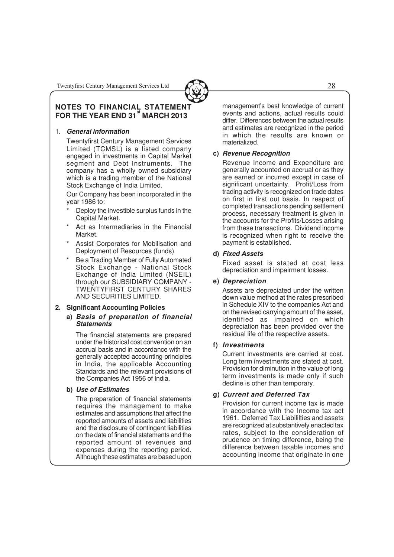Twentyfirst Century Management Services Ltd  $\mathbb{Z}_4$ 



# **NOTES TO FINANCIAL STATEMENT FOR THE YEAR END 31st MARCH 2013**

# 1. **General information**

Twentyfirst Century Management Services Limited (TCMSL) is a listed company engaged in investments in Capital Market segment and Debt Instruments. The company has a wholly owned subsidiary which is a trading member of the National Stock Exchange of India Limited.

Our Company has been incorporated in the year 1986 to:

- Deploy the investible surplus funds in the Capital Market.
- Act as Intermediaries in the Financial Market.
- Assist Corporates for Mobilisation and Deployment of Resources (funds)
- Be a Trading Member of Fully Automated Stock Exchange - National Stock Exchange of India Limited (NSEIL) through our SUBSIDIARY COMPANY - TWENTYFIRST CENTURY SHARES AND SECURITIES LIMITED.

# **2. Significant Accounting Policies**

#### **a) Basis of preparation of financial Statements**

The financial statements are prepared under the historical cost convention on an accrual basis and in accordance with the generally accepted accounting principles in India, the applicable Accounting Standards and the relevant provisions of the Companies Act 1956 of India.

# **b) Use of Estimates**

The preparation of financial statements requires the management to make estimates and assumptions that affect the reported amounts of assets and liabilities and the disclosure of contingent liabilities on the date of financial statements and the reported amount of revenues and expenses during the reporting period. Although these estimates are based upon

management's best knowledge of current events and actions, actual results could differ. Differences between the actual results and estimates are recognized in the period in which the results are known or materialized.

# **c) Revenue Recognition**

Revenue Income and Expenditure are generally accounted on accrual or as they are earned or incurred except in case of significant uncertainty. Profit/Loss from trading activity is recognized on trade dates on first in first out basis. In respect of completed transactions pending settlement process, necessary treatment is given in the accounts for the Profits/Losses arising from these transactions. Dividend income is recognized when right to receive the payment is established.

# **d) Fixed Assets**

Fixed asset is stated at cost less depreciation and impairment losses.

# **e) Depreciation**

Assets are depreciated under the written down value method at the rates prescribed in Schedule XIV to the companies Act and on the revised carrying amount of the asset, identified as impaired on which depreciation has been provided over the residual life of the respective assets.

# **f) Investments**

Current investments are carried at cost. Long term investments are stated at cost. Provision for diminution in the value of long term investments is made only if such decline is other than temporary.

# **g) Current and Deferred Tax**

Provision for current income tax is made in accordance with the Income tax act 1961. Deferred Tax Liabililties and assets are recognized at substantively enacted tax rates, subject to the consideration of prudence on timing difference, being the difference between taxable incomes and accounting income that originate in one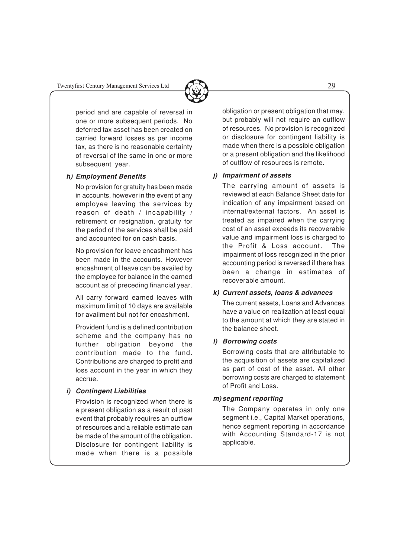

period and are capable of reversal in one or more subsequent periods. No deferred tax asset has been created on carried forward losses as per income tax, as there is no reasonable certainty of reversal of the same in one or more subsequent year.

#### **h) Employment Benefits**

No provision for gratuity has been made in accounts, however in the event of any employee leaving the services by reason of death / incapability / retirement or resignation, gratuity for the period of the services shall be paid and accounted for on cash basis.

No provision for leave encashment has been made in the accounts. However encashment of leave can be availed by the employee for balance in the earned account as of preceding financial year.

All carry forward earned leaves with maximum limit of 10 days are available for availment but not for encashment.

Provident fund is a defined contribution scheme and the company has no further obligation beyond the contribution made to the fund. Contributions are charged to profit and loss account in the year in which they accrue.

# **i) Contingent Liabilities**

Provision is recognized when there is a present obligation as a result of past event that probably requires an outflow of resources and a reliable estimate can be made of the amount of the obligation. Disclosure for contingent liability is made when there is a possible obligation or present obligation that may, but probably will not require an outflow of resources. No provision is recognized or disclosure for contingent liability is made when there is a possible obligation or a present obligation and the likelihood of outflow of resources is remote.

#### **j) Impairment of assets**

The carrying amount of assets is reviewed at each Balance Sheet date for indication of any impairment based on internal/external factors. An asset is treated as impaired when the carrying cost of an asset exceeds its recoverable value and impairment loss is charged to the Profit & Loss account. The impairment of loss recognized in the prior accounting period is reversed if there has been a change in estimates of recoverable amount.

#### **k) Current assets, loans & advances**

The current assets, Loans and Advances have a value on realization at least equal to the amount at which they are stated in the balance sheet.

#### **l) Borrowing costs**

Borrowing costs that are attributable to the acquisition of assets are capitalized as part of cost of the asset. All other borrowing costs are charged to statement of Profit and Loss.

#### **m)segment reporting**

The Company operates in only one segment i.e., Capital Market operations, hence segment reporting in accordance with Accounting Standard-17 is not applicable.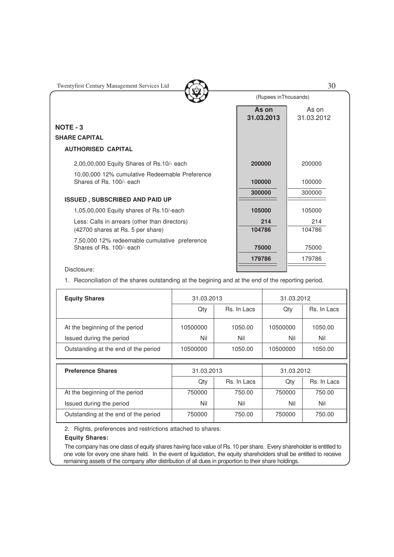| Twentyfirst Century Management Services Ltd                                |                       | 30                  |
|----------------------------------------------------------------------------|-----------------------|---------------------|
|                                                                            | (Rupees in Thousands) |                     |
|                                                                            | As on<br>31.03.2013   | As on<br>31.03.2012 |
| $NOTE - 3$                                                                 |                       |                     |
| <b>SHARE CAPITAL</b>                                                       |                       |                     |
| <b>AUTHORISED CAPITAL</b>                                                  |                       |                     |
| 2,00,00,000 Equity Shares of Rs.10/- each                                  | 200000                | 200000              |
| 10,00,000 12% cumulative Redeemable Preference<br>Shares of Rs. 100/- each | 100000                | 100000              |
| <b>ISSUED, SUBSCRIBED AND PAID UP</b>                                      | 300000                | 300000              |
| 1,05,00,000 Equity shares of Rs.10/-each                                   | 105000                | 105000              |
| Less: Calls in arrears (other than directors)                              | 214                   | 214                 |
| (42700 shares at Rs. 5 per share)                                          | 104786                | 104786              |
| 7,50,000 12% redeemable cumulative preference<br>Shares of Rs. 100/- each  | 75000                 | 75000               |
|                                                                            | 179786                | 179786              |
| Disclosure:                                                                |                       |                     |

1. Reconciliation of the shares outstanding at the begining and at the end of the reporting period.

| <b>Equity Shares</b>                 | 31.03.2013 |             | 31.03.2012 |             |
|--------------------------------------|------------|-------------|------------|-------------|
|                                      | Qty        | Rs. In Lacs | Qty        | Rs. In Lacs |
| At the beginning of the period       | 10500000   | 1050.00     | 10500000   | 1050.00     |
| Issued during the period             | Nil        | Nil         | Nil        | Nil         |
| Outstanding at the end of the period | 10500000   | 1050.00     | 10500000   | 1050.00     |
|                                      |            |             |            |             |
| <b>Preference Shares</b>             |            | 31.03.2013  |            | 31.03.2012  |
|                                      | Qty        | Rs. In Lacs | Qty        | Rs. In Lacs |
| At the beginning of the period       | 750000     | 750.00      | 750000     | 750.00      |
| Issued during the period             | Nil        | Nil         | Nil        | Nil         |
| Outstanding at the end of the period | 750000     | 750.00      | 750000     | 750.00      |

2. Rights, preferences and restrictions attached to shares:

# **Equity Shares:**

The company has one class of equity shares having face value of Rs. 10 per share. Every shareholder is entitled to one vote for every one share held. In the event of liquidation, the equity shareholders shall be entitled to receive remaining assets of the company after distribution of all dues in proportion to their share holdings.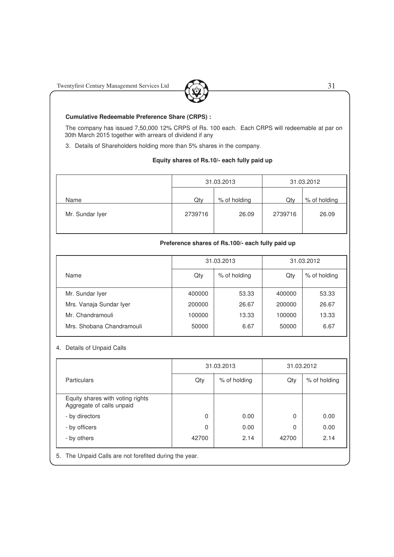

#### **Cumulative Redeemable Preference Share (CRPS) :**

The company has issued 7,50,000 12% CRPS of Rs. 100 each. Each CRPS will redeemable at par on 30th March 2015 together with arrears of dividend if any

3. Details of Shareholders holding more than 5% shares in the company.

#### **Equity shares of Rs.10/- each fully paid up**

|                 | 31.03.2013 |              | 31.03.2012 |              |
|-----------------|------------|--------------|------------|--------------|
| Name            | Qty        | % of holding | Qty        | % of holding |
| Mr. Sundar Iyer | 2739716    | 26.09        | 2739716    | 26.09        |
|                 |            |              |            |              |

#### **Preference shares of Rs.100/- each fully paid up**

|                           | 31.03.2013 |              |        | 31.03.2012   |
|---------------------------|------------|--------------|--------|--------------|
| Name                      | Qty        | % of holding | Qty    | % of holding |
| Mr. Sundar Iyer           | 400000     | 53.33        | 400000 | 53.33        |
| Mrs. Vanaja Sundar Iyer   | 200000     | 26.67        | 200000 | 26.67        |
| Mr. Chandramouli          | 100000     | 13.33        | 100000 | 13.33        |
| Mrs. Shobana Chandramouli | 50000      | 6.67         | 50000  | 6.67         |

#### 4. Details of Unpaid Calls

| 31.03.2013 |              | 31.03.2012 |              |
|------------|--------------|------------|--------------|
| Qty        | % of holding | Qty        | % of holding |
|            |              |            |              |
| $\Omega$   | 0.00         | $\Omega$   | 0.00         |
| 0          | 0.00         | $\Omega$   | 0.00         |
| 42700      | 2.14         | 42700      | 2.14         |
|            |              |            |              |

5. The Unpaid Calls are not forefited during the year.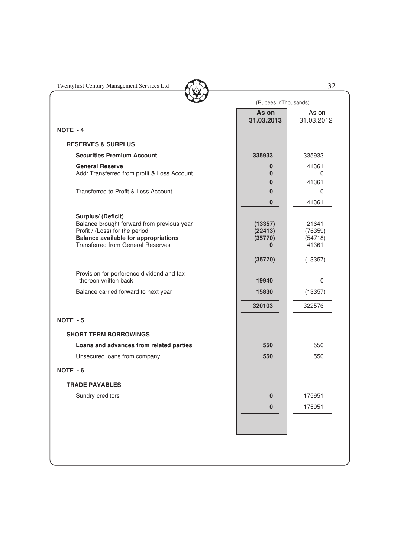Twentyfirst Century Management Services Ltd 32

 $\sqrt{ }$ 



|                                                                                                                                                                                               |                                    | (Rupees in Thousands)                |  |  |
|-----------------------------------------------------------------------------------------------------------------------------------------------------------------------------------------------|------------------------------------|--------------------------------------|--|--|
|                                                                                                                                                                                               | As on<br>31.03.2013                | As on<br>31.03.2012                  |  |  |
| NOTE - 4                                                                                                                                                                                      |                                    |                                      |  |  |
| <b>RESERVES &amp; SURPLUS</b>                                                                                                                                                                 |                                    |                                      |  |  |
| <b>Securities Premium Account</b>                                                                                                                                                             | 335933                             | 335933                               |  |  |
| <b>General Reserve</b><br>Add: Transferred from profit & Loss Account                                                                                                                         | 0<br>0                             | 41361<br>0                           |  |  |
|                                                                                                                                                                                               | $\bf{0}$                           | 41361                                |  |  |
| Transferred to Profit & Loss Account                                                                                                                                                          | $\bf{0}$                           | 0                                    |  |  |
|                                                                                                                                                                                               | $\pmb{0}$                          | 41361                                |  |  |
| Surplus/ (Deficit)<br>Balance brought forward from previous year<br>Profit / (Loss) for the period<br><b>Balance available for appropriations</b><br><b>Transferred from General Reserves</b> | (13357)<br>(22413)<br>(35770)<br>0 | 21641<br>(76359)<br>(54718)<br>41361 |  |  |
|                                                                                                                                                                                               | (35770)                            | (13357)                              |  |  |
| Provision for perference dividend and tax<br>thereon written back                                                                                                                             | 19940                              | $\Omega$                             |  |  |
| Balance carried forward to next year                                                                                                                                                          | 15830                              | (13357)                              |  |  |
|                                                                                                                                                                                               | 320103                             | 322576                               |  |  |
| $NOTE - 5$                                                                                                                                                                                    |                                    |                                      |  |  |
| <b>SHORT TERM BORROWINGS</b>                                                                                                                                                                  |                                    |                                      |  |  |
| Loans and advances from related parties                                                                                                                                                       | 550                                | 550                                  |  |  |
| Unsecured loans from company                                                                                                                                                                  | 550                                | 550                                  |  |  |
| NOTE - 6                                                                                                                                                                                      |                                    |                                      |  |  |
| <b>TRADE PAYABLES</b>                                                                                                                                                                         |                                    |                                      |  |  |
| Sundry creditors                                                                                                                                                                              | 0                                  | 175951                               |  |  |
|                                                                                                                                                                                               | 0                                  | 175951                               |  |  |
|                                                                                                                                                                                               |                                    |                                      |  |  |
|                                                                                                                                                                                               |                                    |                                      |  |  |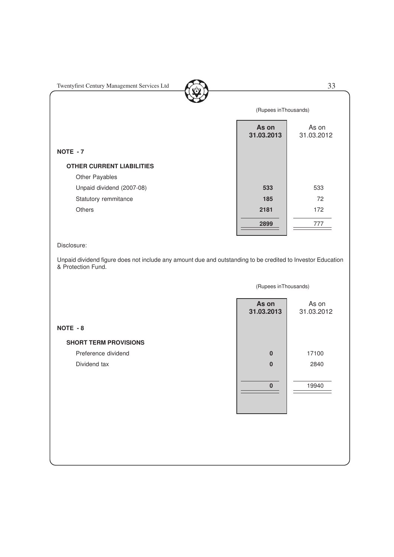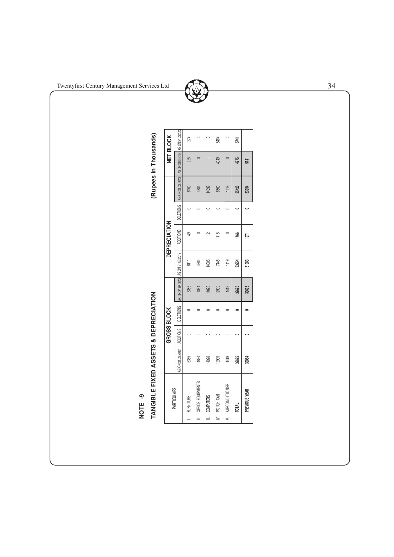

| NOTE-9                               |                  |                  |                          |       |                                   |                     |           |                  |                                   |               |
|--------------------------------------|------------------|------------------|--------------------------|-------|-----------------------------------|---------------------|-----------|------------------|-----------------------------------|---------------|
| TANGIBLE FIXED ASSETS & DEPRECIATION |                  |                  |                          |       |                                   |                     |           |                  | (Rupees in Thousands)             |               |
|                                      |                  | GROSS BLOCK      |                          |       |                                   | <b>DEPRECIATION</b> |           |                  |                                   | NET BLOCK     |
| <b>PARTICULARS</b>                   | AS ON 31.03.2012 | <b>ADDITIONS</b> | DELETIONS                |       | AS ON 31.03.2013 AS ON 31.03.2012 | <b>ADDITIONS</b>    | DELETIONS | AS ON 31.03.2013 | AS ON 31.03.2013 AS ON 31.03.2012 |               |
| <b>FURNITURE</b>                     | 6385             | 0                | $\overline{\phantom{0}}$ | 6385  | 6111                              | ą,                  |           | 6160             | 25                                | 274           |
| OFFICE EQUIPMENTS                    | 4884             |                  |                          | 4884  | 4884                              |                     |           | 4884             | $\circ$                           | 0             |
| <b>COMPUTERS</b><br>≡                | 14098            |                  |                          | 14098 | 4095                              |                     |           | 14097            |                                   | $\sim$        |
| MOTOR CAR<br>Ξ                       | 12909            |                  |                          | 12909 | 7445                              | 1415                |           | 8860             | 4049                              | 5464          |
| AIRCONDITIONER<br>$\leq$             | 1419             |                  |                          | 1419  | 1419                              |                     | 0         | 1419             | $\circ$                           | $\Rightarrow$ |
| <b>TOTAL</b>                         | 39695            | 0                | 0                        | 39695 | 33954                             | 1466                |           | 35420            | 4275                              | 5741          |
| PREVIOUS YEAR                        | 32084            | 0                | 0                        | 39695 | 31983                             | 1971                |           | 33954            | 5741                              |               |
|                                      |                  |                  |                          |       |                                   |                     |           |                  |                                   |               |

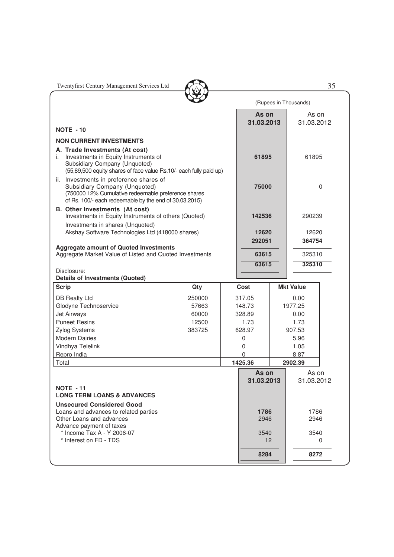| Twentyfirst Century Management Services Ltd                                                                                                                                               |        |                     |                       | 35           |
|-------------------------------------------------------------------------------------------------------------------------------------------------------------------------------------------|--------|---------------------|-----------------------|--------------|
|                                                                                                                                                                                           |        |                     | (Rupees in Thousands) |              |
|                                                                                                                                                                                           |        | As on<br>31.03.2013 | As on<br>31.03.2012   |              |
| <b>NOTE - 10</b>                                                                                                                                                                          |        |                     |                       |              |
| <b>NON CURRENT INVESTMENTS</b>                                                                                                                                                            |        |                     |                       |              |
| A. Trade Investments (At cost)<br>Investments in Equity Instruments of<br>i.<br>Subsidiary Company (Unquoted)<br>(55,89,500 equity shares of face value Rs.10/- each fully paid up)       |        | 61895               | 61895                 |              |
| ii. Investments in preference shares of<br>Subsidiary Company (Unquoted)<br>(750000 12% Cumulative redeemable preference shares<br>of Rs. 100/- each redeemable by the end of 30.03.2015) |        | 75000               |                       | $\mathbf{0}$ |
| <b>B.</b> Other Investments (At cost)<br>Investments in Equity Instruments of others (Quoted)                                                                                             |        | 142536              | 290239                |              |
| Investments in shares (Unquoted)<br>Akshay Software Technologies Ltd (418000 shares)                                                                                                      |        | 12620               | 12620                 |              |
|                                                                                                                                                                                           |        | 292051              | 364754                |              |
| <b>Aggregate amount of Quoted Investments</b><br>Aggregate Market Value of Listed and Quoted Investments                                                                                  |        | 63615               |                       |              |
|                                                                                                                                                                                           |        |                     | 325310                |              |
| Disclosure:                                                                                                                                                                               |        | 63615               | 325310                |              |
| <b>Details of Investments (Quoted)</b>                                                                                                                                                    |        |                     |                       |              |
| <b>Scrip</b>                                                                                                                                                                              | Qty    | Cost                | <b>Mkt Value</b>      |              |
| <b>DB Realty Ltd</b>                                                                                                                                                                      | 250000 | 317.05              | 0.00                  |              |
| Glodyne Technoservice                                                                                                                                                                     | 57663  | 148.73              | 1977.25               |              |
| <b>Jet Airways</b>                                                                                                                                                                        | 60000  | 328.89              | 0.00                  |              |
| <b>Puneet Resins</b>                                                                                                                                                                      | 12500  | 1.73                | 1.73                  |              |
| Zylog Systems                                                                                                                                                                             | 383725 | 628.97              | 907.53                |              |
| <b>Modern Dairies</b>                                                                                                                                                                     |        | $\mathbf 0$         | 5.96                  |              |
| Vindhya Telelink                                                                                                                                                                          |        | 0                   | 1.05                  |              |
| Repro India                                                                                                                                                                               |        | 0                   | 8.87                  |              |
| Total                                                                                                                                                                                     |        | 1425.36             | 2902.39               |              |
| <b>NOTE - 11</b>                                                                                                                                                                          |        | As on<br>31.03.2013 | As on<br>31.03.2012   |              |
| <b>LONG TERM LOANS &amp; ADVANCES</b>                                                                                                                                                     |        |                     |                       |              |
| <b>Unsecured Considered Good</b>                                                                                                                                                          |        | 1786                | 1786                  |              |
| Loans and advances to related parties<br>Other Loans and advances                                                                                                                         |        | 2946                | 2946                  |              |
| Advance payment of taxes                                                                                                                                                                  |        |                     |                       |              |
| * Income Tax A - Y 2006-07                                                                                                                                                                |        | 3540                | 3540                  |              |
| * Interest on FD - TDS                                                                                                                                                                    |        | 12                  |                       | 0            |
|                                                                                                                                                                                           |        | 8284                | 8272                  |              |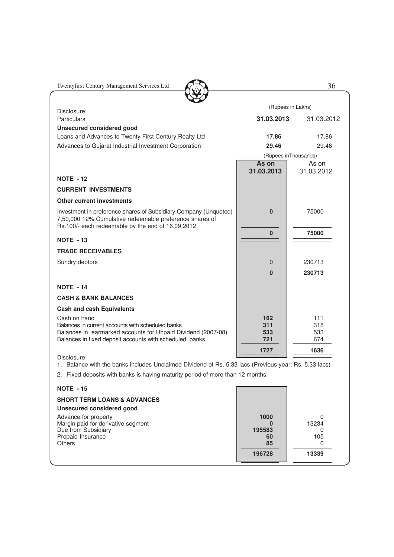| (Rupees in Lakhs)<br>Disclosure:<br>31.03.2013<br>Particulars<br>31.03.2012<br><b>Unsecured considered good</b><br>Loans and Advances to Twenty First Century Realty Ltd<br>17.86<br>17.86<br>Advances to Gujarat Industrial Investment Corporation<br>29.46<br>29.46<br>(Rupees inThousands)<br>As on<br>As on<br>31.03.2013<br>31.03.2012<br><b>NOTE - 12</b><br><b>CURRENT INVESTMENTS</b><br><b>Other current investments</b><br>Investment in preference shares of Subsidiary Company (Unquoted)<br>0<br>75000<br>7,50,000 12% Cumulative redeemable preference shares of<br>Rs.100/- each redeemable by the end of 16.09.2012<br>75000<br>0<br><b>NOTE - 13</b><br><b>TRADE RECEIVABLES</b><br>Sundry debtors<br>230713<br>0<br>230713<br>0<br><b>NOTE - 14</b><br><b>CASH &amp; BANK BALANCES</b><br><b>Cash and cash Equivalents</b><br>Cash on hand<br>111<br>162<br>Balances in current accounts with scheduled banks<br>311<br>318<br>Balances in earmarked accounts for Unpaid Dividend (2007-08)<br>533<br>533<br>Balances in fixed deposit accounts with scheduled banks<br>721<br>674<br>1727<br>1636<br>Disclosure:<br>1. Balance with the banks includes Unclaimed Dividend of Rs. 5.33 lacs (Previous year: Rs. 5.33 lacs)<br>2. Fixed deposits with banks is having maturity period of more than 12 months.<br><b>NOTE - 15</b><br><b>SHORT TERM LOANS &amp; ADVANCES</b><br><b>Unsecured considered good</b><br>Advance for property<br>1000<br>0<br>Margin paid for derivative segment<br>13234<br>Due from Subsidiary<br>195583<br>0<br>Prepaid Insurance<br>60<br>105<br><b>Others</b><br>85<br>0<br>196728<br>13339 | Twentyfirst Century Management Services Ltd | 36 |
|---------------------------------------------------------------------------------------------------------------------------------------------------------------------------------------------------------------------------------------------------------------------------------------------------------------------------------------------------------------------------------------------------------------------------------------------------------------------------------------------------------------------------------------------------------------------------------------------------------------------------------------------------------------------------------------------------------------------------------------------------------------------------------------------------------------------------------------------------------------------------------------------------------------------------------------------------------------------------------------------------------------------------------------------------------------------------------------------------------------------------------------------------------------------------------------------------------------------------------------------------------------------------------------------------------------------------------------------------------------------------------------------------------------------------------------------------------------------------------------------------------------------------------------------------------------------------------------------------------------------------------------------|---------------------------------------------|----|
|                                                                                                                                                                                                                                                                                                                                                                                                                                                                                                                                                                                                                                                                                                                                                                                                                                                                                                                                                                                                                                                                                                                                                                                                                                                                                                                                                                                                                                                                                                                                                                                                                                             |                                             |    |
|                                                                                                                                                                                                                                                                                                                                                                                                                                                                                                                                                                                                                                                                                                                                                                                                                                                                                                                                                                                                                                                                                                                                                                                                                                                                                                                                                                                                                                                                                                                                                                                                                                             |                                             |    |
|                                                                                                                                                                                                                                                                                                                                                                                                                                                                                                                                                                                                                                                                                                                                                                                                                                                                                                                                                                                                                                                                                                                                                                                                                                                                                                                                                                                                                                                                                                                                                                                                                                             |                                             |    |
|                                                                                                                                                                                                                                                                                                                                                                                                                                                                                                                                                                                                                                                                                                                                                                                                                                                                                                                                                                                                                                                                                                                                                                                                                                                                                                                                                                                                                                                                                                                                                                                                                                             |                                             |    |
|                                                                                                                                                                                                                                                                                                                                                                                                                                                                                                                                                                                                                                                                                                                                                                                                                                                                                                                                                                                                                                                                                                                                                                                                                                                                                                                                                                                                                                                                                                                                                                                                                                             |                                             |    |
|                                                                                                                                                                                                                                                                                                                                                                                                                                                                                                                                                                                                                                                                                                                                                                                                                                                                                                                                                                                                                                                                                                                                                                                                                                                                                                                                                                                                                                                                                                                                                                                                                                             |                                             |    |
|                                                                                                                                                                                                                                                                                                                                                                                                                                                                                                                                                                                                                                                                                                                                                                                                                                                                                                                                                                                                                                                                                                                                                                                                                                                                                                                                                                                                                                                                                                                                                                                                                                             |                                             |    |
|                                                                                                                                                                                                                                                                                                                                                                                                                                                                                                                                                                                                                                                                                                                                                                                                                                                                                                                                                                                                                                                                                                                                                                                                                                                                                                                                                                                                                                                                                                                                                                                                                                             |                                             |    |
|                                                                                                                                                                                                                                                                                                                                                                                                                                                                                                                                                                                                                                                                                                                                                                                                                                                                                                                                                                                                                                                                                                                                                                                                                                                                                                                                                                                                                                                                                                                                                                                                                                             |                                             |    |
|                                                                                                                                                                                                                                                                                                                                                                                                                                                                                                                                                                                                                                                                                                                                                                                                                                                                                                                                                                                                                                                                                                                                                                                                                                                                                                                                                                                                                                                                                                                                                                                                                                             |                                             |    |
|                                                                                                                                                                                                                                                                                                                                                                                                                                                                                                                                                                                                                                                                                                                                                                                                                                                                                                                                                                                                                                                                                                                                                                                                                                                                                                                                                                                                                                                                                                                                                                                                                                             |                                             |    |
|                                                                                                                                                                                                                                                                                                                                                                                                                                                                                                                                                                                                                                                                                                                                                                                                                                                                                                                                                                                                                                                                                                                                                                                                                                                                                                                                                                                                                                                                                                                                                                                                                                             |                                             |    |
|                                                                                                                                                                                                                                                                                                                                                                                                                                                                                                                                                                                                                                                                                                                                                                                                                                                                                                                                                                                                                                                                                                                                                                                                                                                                                                                                                                                                                                                                                                                                                                                                                                             |                                             |    |
|                                                                                                                                                                                                                                                                                                                                                                                                                                                                                                                                                                                                                                                                                                                                                                                                                                                                                                                                                                                                                                                                                                                                                                                                                                                                                                                                                                                                                                                                                                                                                                                                                                             |                                             |    |
|                                                                                                                                                                                                                                                                                                                                                                                                                                                                                                                                                                                                                                                                                                                                                                                                                                                                                                                                                                                                                                                                                                                                                                                                                                                                                                                                                                                                                                                                                                                                                                                                                                             |                                             |    |
|                                                                                                                                                                                                                                                                                                                                                                                                                                                                                                                                                                                                                                                                                                                                                                                                                                                                                                                                                                                                                                                                                                                                                                                                                                                                                                                                                                                                                                                                                                                                                                                                                                             |                                             |    |
|                                                                                                                                                                                                                                                                                                                                                                                                                                                                                                                                                                                                                                                                                                                                                                                                                                                                                                                                                                                                                                                                                                                                                                                                                                                                                                                                                                                                                                                                                                                                                                                                                                             |                                             |    |
|                                                                                                                                                                                                                                                                                                                                                                                                                                                                                                                                                                                                                                                                                                                                                                                                                                                                                                                                                                                                                                                                                                                                                                                                                                                                                                                                                                                                                                                                                                                                                                                                                                             |                                             |    |
|                                                                                                                                                                                                                                                                                                                                                                                                                                                                                                                                                                                                                                                                                                                                                                                                                                                                                                                                                                                                                                                                                                                                                                                                                                                                                                                                                                                                                                                                                                                                                                                                                                             |                                             |    |
|                                                                                                                                                                                                                                                                                                                                                                                                                                                                                                                                                                                                                                                                                                                                                                                                                                                                                                                                                                                                                                                                                                                                                                                                                                                                                                                                                                                                                                                                                                                                                                                                                                             |                                             |    |
|                                                                                                                                                                                                                                                                                                                                                                                                                                                                                                                                                                                                                                                                                                                                                                                                                                                                                                                                                                                                                                                                                                                                                                                                                                                                                                                                                                                                                                                                                                                                                                                                                                             |                                             |    |
|                                                                                                                                                                                                                                                                                                                                                                                                                                                                                                                                                                                                                                                                                                                                                                                                                                                                                                                                                                                                                                                                                                                                                                                                                                                                                                                                                                                                                                                                                                                                                                                                                                             |                                             |    |
|                                                                                                                                                                                                                                                                                                                                                                                                                                                                                                                                                                                                                                                                                                                                                                                                                                                                                                                                                                                                                                                                                                                                                                                                                                                                                                                                                                                                                                                                                                                                                                                                                                             |                                             |    |
|                                                                                                                                                                                                                                                                                                                                                                                                                                                                                                                                                                                                                                                                                                                                                                                                                                                                                                                                                                                                                                                                                                                                                                                                                                                                                                                                                                                                                                                                                                                                                                                                                                             |                                             |    |
|                                                                                                                                                                                                                                                                                                                                                                                                                                                                                                                                                                                                                                                                                                                                                                                                                                                                                                                                                                                                                                                                                                                                                                                                                                                                                                                                                                                                                                                                                                                                                                                                                                             |                                             |    |
|                                                                                                                                                                                                                                                                                                                                                                                                                                                                                                                                                                                                                                                                                                                                                                                                                                                                                                                                                                                                                                                                                                                                                                                                                                                                                                                                                                                                                                                                                                                                                                                                                                             |                                             |    |
|                                                                                                                                                                                                                                                                                                                                                                                                                                                                                                                                                                                                                                                                                                                                                                                                                                                                                                                                                                                                                                                                                                                                                                                                                                                                                                                                                                                                                                                                                                                                                                                                                                             |                                             |    |
|                                                                                                                                                                                                                                                                                                                                                                                                                                                                                                                                                                                                                                                                                                                                                                                                                                                                                                                                                                                                                                                                                                                                                                                                                                                                                                                                                                                                                                                                                                                                                                                                                                             |                                             |    |
|                                                                                                                                                                                                                                                                                                                                                                                                                                                                                                                                                                                                                                                                                                                                                                                                                                                                                                                                                                                                                                                                                                                                                                                                                                                                                                                                                                                                                                                                                                                                                                                                                                             |                                             |    |
|                                                                                                                                                                                                                                                                                                                                                                                                                                                                                                                                                                                                                                                                                                                                                                                                                                                                                                                                                                                                                                                                                                                                                                                                                                                                                                                                                                                                                                                                                                                                                                                                                                             |                                             |    |
|                                                                                                                                                                                                                                                                                                                                                                                                                                                                                                                                                                                                                                                                                                                                                                                                                                                                                                                                                                                                                                                                                                                                                                                                                                                                                                                                                                                                                                                                                                                                                                                                                                             |                                             |    |
|                                                                                                                                                                                                                                                                                                                                                                                                                                                                                                                                                                                                                                                                                                                                                                                                                                                                                                                                                                                                                                                                                                                                                                                                                                                                                                                                                                                                                                                                                                                                                                                                                                             |                                             |    |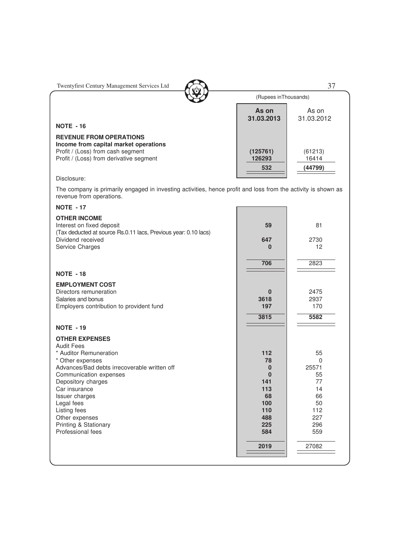| Twentyfirst Century Management Services Ltd                                                                                                                                                                                                                                                                               |                                                                                                  | 37                                                                                  |
|---------------------------------------------------------------------------------------------------------------------------------------------------------------------------------------------------------------------------------------------------------------------------------------------------------------------------|--------------------------------------------------------------------------------------------------|-------------------------------------------------------------------------------------|
|                                                                                                                                                                                                                                                                                                                           | (Rupees inThousands)                                                                             |                                                                                     |
| <b>NOTE - 16</b>                                                                                                                                                                                                                                                                                                          | As on<br>31.03.2013                                                                              | As on<br>31.03.2012                                                                 |
| <b>REVENUE FROM OPERATIONS</b><br>Income from capital market operations<br>Profit / (Loss) from cash segment<br>Profit / (Loss) from derivative segment                                                                                                                                                                   | (125761)<br>126293<br>532                                                                        | (61213)<br>16414<br>(44799)                                                         |
| Disclosure:                                                                                                                                                                                                                                                                                                               |                                                                                                  |                                                                                     |
| The company is primarily engaged in investing activities, hence profit and loss from the activity is shown as<br>revenue from operations.                                                                                                                                                                                 |                                                                                                  |                                                                                     |
| <b>NOTE - 17</b>                                                                                                                                                                                                                                                                                                          |                                                                                                  |                                                                                     |
| <b>OTHER INCOME</b><br>Interest on fixed deposit<br>(Tax deducted at source Rs.0.11 lacs, Previous year: 0.10 lacs)                                                                                                                                                                                                       | 59                                                                                               | 81                                                                                  |
| Dividend received<br>Service Charges                                                                                                                                                                                                                                                                                      | 647<br>$\bf{0}$                                                                                  | 2730<br>12                                                                          |
|                                                                                                                                                                                                                                                                                                                           | 706                                                                                              | 2823                                                                                |
| <b>NOTE - 18</b>                                                                                                                                                                                                                                                                                                          |                                                                                                  |                                                                                     |
| <b>EMPLOYMENT COST</b><br>Directors remuneration<br>Salaries and bonus<br>Employers contribution to provident fund                                                                                                                                                                                                        | 0<br>3618<br>197<br>3815                                                                         | 2475<br>2937<br>170<br>5582                                                         |
| <b>NOTE - 19</b>                                                                                                                                                                                                                                                                                                          |                                                                                                  |                                                                                     |
| <b>OTHER EXPENSES</b><br><b>Audit Fees</b><br>* Auditor Remuneration<br>* Other expenses<br>Advances/Bad debts irrecoverable written off<br>Communication expenses<br>Depository charges<br>Car insurance<br>Issuer charges<br>Legal fees<br>Listing fees<br>Other expenses<br>Printing & Stationary<br>Professional fees | 112<br>78<br>$\bf{0}$<br>$\bf{0}$<br>141<br>113<br>68<br>100<br>110<br>488<br>225<br>584<br>2019 | 55<br>0<br>25571<br>55<br>77<br>14<br>66<br>50<br>112<br>227<br>296<br>559<br>27082 |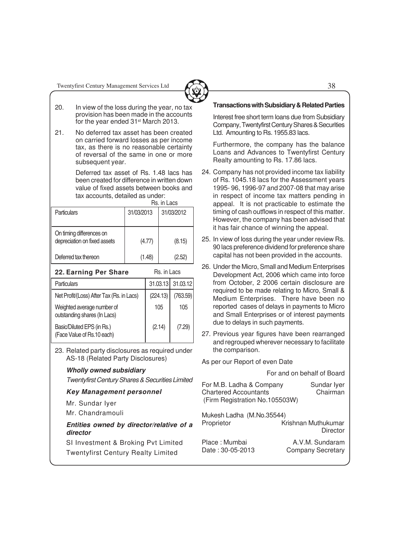Twentyfirst Century Management Services Ltd  $\mathbb{Z}^{\setminus}$ 



- 20. In view of the loss during the year, no tax provision has been made in the accounts for the year ended 31<sup>st</sup> March 2013.
- 21. No deferred tax asset has been created on carried forward losses as per income tax, as there is no reasonable certainty of reversal of the same in one or more subsequent year.

Deferred tax asset of Rs. 1.48 lacs has been created for difference in written down value of fixed assets between books and tax accounts, detailed as under: Rs. in Lacs

|                                                          |            | היום ווו הה |
|----------------------------------------------------------|------------|-------------|
| Particulars                                              | 31/03/2013 | 31/03/2012  |
| On timing differences on<br>depreciation on fixed assets | (4.77)     | (8.15)      |
| Deferred tax thereon                                     | (1.48)     | (2.52)      |

# **22. Earning Per Share** Particulars 31.03.13 31.03.12 Net Profit/(Loss) After Tax (Rs. in Lacs) (224.13) (763.59) Weighted average number of 105 | 105 outstanding shares (In Lacs) Basic/Diluted EPS (in Rs.) (2.14) (7.29) (Face Value of Rs.10 each) Rs. in Lacs

23. Related party disclosures as required under AS-18 (Related Party Disclosures)

# **Wholly owned subsidiary**

Twentyfirst Century Shares & Securities Limited

# **Key Management personnel**

Mr. Sundar Iyer

Mr. Chandramouli

# **Entities owned by director/relative of a director**

SI Investment & Broking Pvt Limited Twentyfirst Century Realty Limited

# **Transactions with Subsidiary & Related Parties**

Interest free short term loans due from Subsidiary Company, Twentyfirst Century Shares & Securities Ltd. Amounting to Rs. 1955.83 lacs.

Furthermore, the company has the balance Loans and Advances to Twentyfirst Century Realty amounting to Rs. 17.86 lacs.

- 24. Company has not provided income tax liability of Rs. 1045.18 lacs for the Assessment years 1995- 96, 1996-97 and 2007-08 that may arise in respect of income tax matters pending in appeal. It is not practicable to estimate the timing of cash outflows in respect of this matter. However, the company has been advised that it has fair chance of winning the appeal.
- 25. In view of loss during the year under review Rs. 90 lacs preference dividend for preference share capital has not been provided in the accounts.
- 26. Under the Micro, Small and Medium Enterprises Development Act, 2006 which came into force from October, 2 2006 certain disclosure are required to be made relating to Micro, Small & Medium Enterprises. There have been no reported cases of delays in payments to Micro and Small Enterprises or of interest payments due to delays in such payments.
- 27. Previous year figures have been rearranged and regrouped wherever necessary to facilitate the comparison.

As per our Report of even Date

For and on behalf of Board

| For M.B. Ladha & Company<br><b>Chartered Accountants</b><br>(Firm Registration No.105503W) | Sundar lyer<br>Chairman  |
|--------------------------------------------------------------------------------------------|--------------------------|
| Mukesh Ladha (M.No.35544)                                                                  | Krishnan Muthukumar      |
| Proprietor                                                                                 | <b>Director</b>          |
| Place: Mumbai                                                                              | A.V.M. Sundaram          |
| Date: 30-05-2013                                                                           | <b>Company Secretary</b> |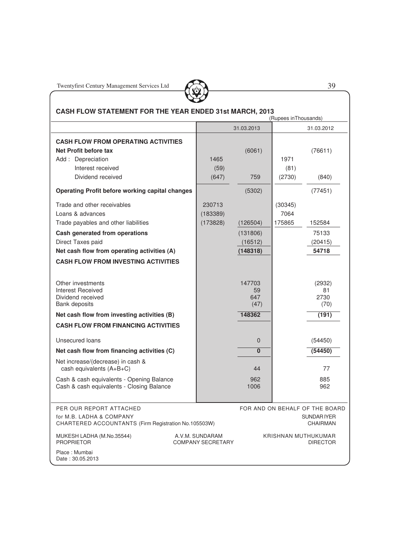$\sqrt{ }$ 

Date : 30.05.2013



| CASH FLOW STATEMENT FOR THE YEAR ENDED 31st MARCH, 2013<br>(Rupees in Thousands)                                                                                                                                                            |  |                                             |                                             |                           |                                                                         |  |  |
|---------------------------------------------------------------------------------------------------------------------------------------------------------------------------------------------------------------------------------------------|--|---------------------------------------------|---------------------------------------------|---------------------------|-------------------------------------------------------------------------|--|--|
|                                                                                                                                                                                                                                             |  |                                             | 31.03.2013                                  |                           | 31.03.2012                                                              |  |  |
| <b>CASH FLOW FROM OPERATING ACTIVITIES</b><br>Net Profit before tax<br>Add: Depreciation<br>Interest received<br>Dividend received                                                                                                          |  | 1465<br>(59)<br>(647)                       | (6061)<br>759                               | 1971<br>(81)<br>(2730)    | (76611)<br>(840)                                                        |  |  |
| <b>Operating Profit before working capital changes</b>                                                                                                                                                                                      |  |                                             | (5302)                                      |                           | (77451)                                                                 |  |  |
| Trade and other receivables<br>Loans & advances<br>Trade payables and other liabilities<br>Cash generated from operations<br>Direct Taxes paid<br>Net cash flow from operating activities (A)<br><b>CASH FLOW FROM INVESTING ACTIVITIES</b> |  | 230713<br>(183389)<br>(173828)              | (126504)<br>(131806)<br>(16512)<br>(148318) | (30345)<br>7064<br>175865 | 152584<br>75133<br>(20415)<br>54718                                     |  |  |
| Other investments<br>Interest Received<br>Dividend received<br><b>Bank deposits</b><br>Net cash flow from investing activities (B)<br><b>CASH FLOW FROM FINANCING ACTIVITIES</b>                                                            |  |                                             | 147703<br>59<br>647<br>(47)<br>148362       |                           | (2932)<br>81<br>2730<br>(70)<br>(191)                                   |  |  |
| Unsecured loans                                                                                                                                                                                                                             |  |                                             | $\overline{0}$                              |                           | (54450)                                                                 |  |  |
| Net cash flow from financing activities (C)                                                                                                                                                                                                 |  |                                             | $\bf{0}$                                    |                           | (54450)                                                                 |  |  |
| Net increase/(decrease) in cash &<br>cash equivalents (A+B+C)<br>Cash & cash equivalents - Opening Balance                                                                                                                                  |  |                                             | 44<br>962                                   |                           | 77<br>885                                                               |  |  |
| Cash & cash equivalents - Closing Balance                                                                                                                                                                                                   |  |                                             | 1006                                        |                           | 962                                                                     |  |  |
| PER OUR REPORT ATTACHED<br>for M.B. LADHA & COMPANY<br>CHARTERED ACCOUNTANTS (Firm Registration No.105503W)                                                                                                                                 |  |                                             |                                             |                           | FOR AND ON BEHALF OF THE BOARD<br><b>SUNDAR IYER</b><br><b>CHAIRMAN</b> |  |  |
| MUKESH LADHA (M.No.35544)<br><b>PROPRIETOR</b><br>Place: Mumbai                                                                                                                                                                             |  | A.V.M. SUNDARAM<br><b>COMPANY SECRETARY</b> |                                             |                           | KRISHNAN MUTHUKUMAR<br><b>DIRECTOR</b>                                  |  |  |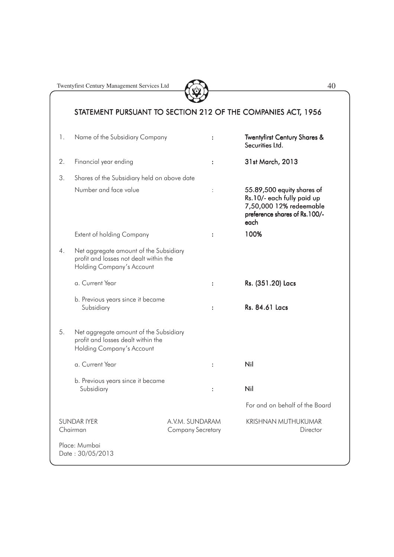

|    |                                                                                                               |                                             | STATEMENT PURSUANT TO SECTION 212 OF THE COMPANIES ACT, 1956                                                                 |
|----|---------------------------------------------------------------------------------------------------------------|---------------------------------------------|------------------------------------------------------------------------------------------------------------------------------|
| 1. | Name of the Subsidiary Company                                                                                | :                                           | <b>Twentyfirst Century Shares &amp;</b><br>Securities Ltd.                                                                   |
| 2. | Financial year ending                                                                                         | :                                           | 31st March, 2013                                                                                                             |
| 3. | Shares of the Subsidiary held on above date                                                                   |                                             |                                                                                                                              |
|    | Number and face value                                                                                         | $\ddot{\cdot}$                              | 55.89,500 equity shares of<br>Rs.10/- each fully paid up<br>7,50,000 12% redeemable<br>preference shares of Rs.100/-<br>each |
|    | Extent of holding Company                                                                                     | $\ddot{\cdot}$                              | 100%                                                                                                                         |
| 4. | Net aggregate amount of the Subsidiary<br>profit and losses not dealt within the<br>Holding Company's Account |                                             |                                                                                                                              |
|    | a. Current Year                                                                                               | $\ddot{\cdot}$                              | Rs. (351.20) Lacs                                                                                                            |
|    | b. Previous years since it became<br>Subsidiary                                                               | $\ddot{\cdot}$                              | Rs. 84.61 Lacs                                                                                                               |
| 5. | Net aggregate amount of the Subsidiary<br>profit and losses dealt within the<br>Holding Company's Account     |                                             |                                                                                                                              |
|    | a. Current Year                                                                                               |                                             | Nil                                                                                                                          |
|    | b. Previous years since it became<br>Subsidiary                                                               | $\ddot{\cdot}$                              | Nil                                                                                                                          |
|    |                                                                                                               |                                             | For and on behalf of the Board                                                                                               |
|    |                                                                                                               |                                             |                                                                                                                              |
|    | <b>SUNDAR IYER</b><br>Chairman                                                                                | A.V.M. SUNDARAM<br><b>Company Secretary</b> | KRISHNAN MUTHUKUMAR<br>Director                                                                                              |
|    | Place: Mumbai<br>Date: 30/05/2013                                                                             |                                             |                                                                                                                              |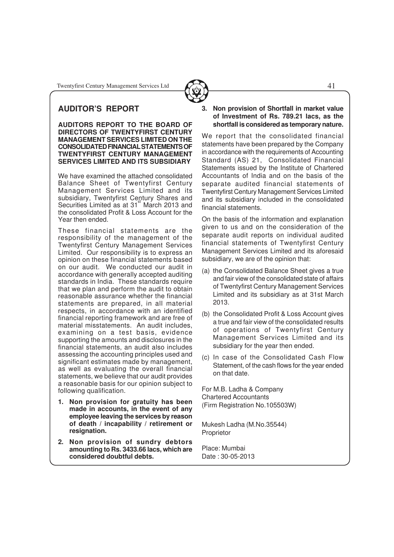Twentyfirst Century Management Services Ltd  $\mathbb{Z}^{\setminus}$ 



# **AUDITOR'S REPORT**

**AUDITORS REPORT TO THE BOARD OF DIRECTORS OF TWENTYFIRST CENTURY MANAGEMENT SERVICES LIMITED ON THE CONSOLIDATED FINANCIAL STATEMENTS OF TWENTYFIRST CENTURY MANAGEMENT SERVICES LIMITED AND ITS SUBSIDIARY**

We have examined the attached consolidated Balance Sheet of Twentyfirst Century Management Services Limited and its subsidiary, Twentyfirst Century Shares and Securities Limited as at 31<sup>st</sup> March 2013 and the consolidated Profit & Loss Account for the Year then ended.

These financial statements are the responsibility of the management of the Twentyfirst Century Management Services Limited. Our responsibility is to express an opinion on these financial statements based on our audit. We conducted our audit in accordance with generally accepted auditing standards in India. These standards require that we plan and perform the audit to obtain reasonable assurance whether the financial statements are prepared, in all material respects, in accordance with an identified financial reporting framework and are free of material misstatements. An audit includes, examining on a test basis, evidence supporting the amounts and disclosures in the financial statements, an audit also includes assessing the accounting principles used and significant estimates made by management, as well as evaluating the overall financial statements, we believe that our audit provides a reasonable basis for our opinion subject to following qualification.

- **1. Non provision for gratuity has been made in accounts, in the event of any employee leaving the services by reason of death / incapability / retirement or resignation.**
- **2. Non provision of sundry debtors amounting to Rs. 3433.66 lacs, which are considered doubtful debts.**

#### **3. Non provision of Shortfall in market value of Investment of Rs. 789.21 lacs, as the shortfall is considered as temporary nature.**

We report that the consolidated financial statements have been prepared by the Company in accordance with the requirements of Accounting Standard (AS) 21, Consolidated Financial Statements issued by the Institute of Chartered Accountants of India and on the basis of the separate audited financial statements of Twentyfirst Century Management Services Limited and its subsidiary included in the consolidated financial statements.

On the basis of the information and explanation given to us and on the consideration of the separate audit reports on individual audited financial statements of Twentyfirst Century Management Services Limited and its aforesaid subsidiary, we are of the opinion that:

- (a) the Consolidated Balance Sheet gives a true and fair view of the consolidated state of affairs of Twentyfirst Century Management Services Limited and its subsidiary as at 31st March 2013.
- (b) the Consolidated Profit & Loss Account gives a true and fair view of the consolidated results of operations of Twentyfirst Century Management Services Limited and its subsidiary for the year then ended.
- (c) In case of the Consolidated Cash Flow Statement, of the cash flows for the year ended on that date.

For M.B. Ladha & Company Chartered Accountants (Firm Registration No.105503W)

Mukesh Ladha (M.No.35544) Proprietor

Place: Mumbai Date : 30-05-2013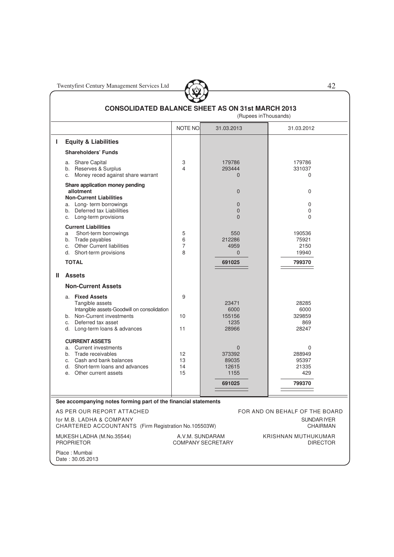Twentyfirst Century Management Services Ltd 42



|   | <b>CONSOLIDATED BALANCE SHEET AS ON 31st MARCH 2013</b>                                                                                                                         |                      | (Rupees in Thousands)                                        |                                                                         |
|---|---------------------------------------------------------------------------------------------------------------------------------------------------------------------------------|----------------------|--------------------------------------------------------------|-------------------------------------------------------------------------|
|   |                                                                                                                                                                                 | NOTE NO              | 31.03.2013                                                   | 31.03.2012                                                              |
| ı | <b>Equity &amp; Liabilities</b><br><b>Shareholders' Funds</b>                                                                                                                   |                      |                                                              |                                                                         |
|   | a. Share Capital<br>Reserves & Surplus<br>b.<br>Money reced against share warrant<br>C.                                                                                         | 3<br>4               | 179786<br>293444<br>$\overline{0}$                           | 179786<br>331037<br>$\Omega$                                            |
|   | Share application money pending<br>allotment<br><b>Non-Current Liabilities</b><br>a. Long-term borrowings<br>b. Deferred tax Liabililties<br>Long-term provisions<br>C.         |                      | $\mathbf 0$<br>0<br>$\mathbf 0$<br>$\Omega$                  | 0<br>0<br>0<br>$\Omega$                                                 |
|   | <b>Current Liabilities</b><br>Short-term borrowings<br>a<br>Trade payables<br>b.<br>Other Current liabilities<br>C.<br>d. Short-term provisions                                 | 5<br>6<br>7<br>8     | 550<br>212286<br>4959<br>$\Omega$                            | 190536<br>75921<br>2150<br>19940                                        |
|   | <b>TOTAL</b>                                                                                                                                                                    |                      | 691025                                                       | 799370                                                                  |
| Ш | <b>Assets</b>                                                                                                                                                                   |                      |                                                              |                                                                         |
|   | <b>Non-Current Assets</b>                                                                                                                                                       |                      |                                                              |                                                                         |
|   | a. Fixed Assets<br>Tangible assets<br>Intangible assets-Goodwill on consolidation<br>b. Non-Current investments<br>Deferred tax asset<br>C.<br>d. Long-term loans & advances    | 9<br>10<br>11        | 23471<br>6000<br>155156<br>1235<br>28966                     | 28285<br>6000<br>329859<br>869<br>28247                                 |
|   | <b>CURRENT ASSETS</b><br>a. Current investments<br>Trade receivables<br>b.<br>Cash and bank balances<br>C.<br>d.<br>Short-term loans and advances<br>Other current assets<br>е. | 12<br>13<br>14<br>15 | $\overline{0}$<br>373392<br>89035<br>12615<br>1155<br>691025 | $\Omega$<br>288949<br>95397<br>21335<br>429<br>799370                   |
|   | See accompanying notes forming part of the financial statements                                                                                                                 |                      |                                                              |                                                                         |
|   | AS PER OUR REPORT ATTACHED<br>for M.B. LADHA & COMPANY<br>CHARTERED ACCOUNTANTS (Firm Registration No.105503W)                                                                  |                      |                                                              | FOR AND ON BEHALF OF THE BOARD<br><b>SUNDAR IYER</b><br><b>CHAIRMAN</b> |
|   | MUKESH LADHA (M.No.35544)<br><b>PROPRIETOR</b>                                                                                                                                  |                      | A.V.M. SUNDARAM<br><b>COMPANY SECRETARY</b>                  | KRISHNAN MUTHUKUMAR<br><b>DIRECTOR</b>                                  |

Place : Mumbai Date: 30.05.2013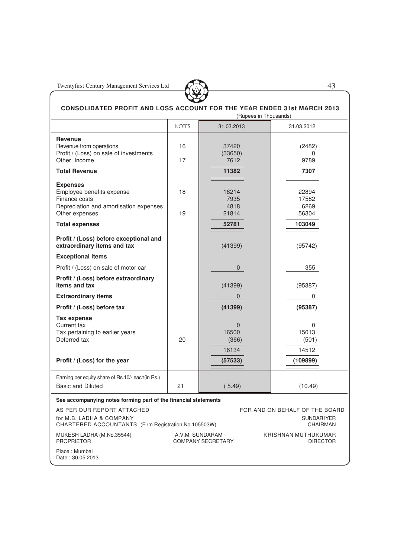$\big($ 



| <b>CONSOLIDATED PROFIT AND LOSS ACCOUNT FOR THE YEAR ENDED 31st MARCH 2013</b><br>(Rupees in Thousands)                   |              |                                                |                                                                         |  |  |  |  |
|---------------------------------------------------------------------------------------------------------------------------|--------------|------------------------------------------------|-------------------------------------------------------------------------|--|--|--|--|
|                                                                                                                           | <b>NOTES</b> | 31.03.2013                                     | 31.03.2012                                                              |  |  |  |  |
| <b>Revenue</b><br>Revenue from operations<br>Profit / (Loss) on sale of investments<br>Other Income                       | 16<br>17     | 37420<br>(33650)<br>7612                       | (2482)<br>0<br>9789                                                     |  |  |  |  |
| <b>Total Revenue</b>                                                                                                      |              | 11382                                          | 7307                                                                    |  |  |  |  |
| <b>Expenses</b><br>Employee benefits expense<br>Finance costs<br>Depreciation and amortisation expenses<br>Other expenses | 18<br>19     | 18214<br>7935<br>4818<br>21814                 | 22894<br>17582<br>6269<br>56304                                         |  |  |  |  |
| <b>Total expenses</b>                                                                                                     |              | 52781                                          | 103049                                                                  |  |  |  |  |
| Profit / (Loss) before exceptional and<br>extraordinary items and tax                                                     |              | (41399)                                        | (95742)                                                                 |  |  |  |  |
| <b>Exceptional items</b>                                                                                                  |              |                                                |                                                                         |  |  |  |  |
| Profit / (Loss) on sale of motor car                                                                                      |              | $\mathbf{0}$                                   | 355                                                                     |  |  |  |  |
| Profit / (Loss) before extraordinary<br>items and tax                                                                     |              | (41399)                                        | (95387)                                                                 |  |  |  |  |
| <b>Extraordinary items</b>                                                                                                |              | $\Omega$                                       | 0                                                                       |  |  |  |  |
| Profit / (Loss) before tax                                                                                                |              | (41399)                                        | (95387)                                                                 |  |  |  |  |
| Tax expense<br>Current tax<br>Tax pertaining to earlier years<br>Deferred tax<br>Profit / (Loss) for the year             | 20           | $\Omega$<br>16500<br>(366)<br>16134<br>(57533) | 0<br>15013<br>(501)<br>14512<br>(109899)                                |  |  |  |  |
|                                                                                                                           |              |                                                |                                                                         |  |  |  |  |
| Earning per equity share of Rs.10/- each(in Rs.)<br><b>Basic and Diluted</b>                                              | 21           | (5.49)                                         | (10.49)                                                                 |  |  |  |  |
| See accompanying notes forming part of the financial statements                                                           |              |                                                |                                                                         |  |  |  |  |
| AS PER OUR REPORT ATTACHED<br>for M.B. LADHA & COMPANY<br>CHARTERED ACCOUNTANTS (Firm Registration No.105503W)            |              |                                                | FOR AND ON BEHALF OF THE BOARD<br><b>SUNDAR IYER</b><br><b>CHAIRMAN</b> |  |  |  |  |
| MUKESH LADHA (M.No.35544)<br><b>PROPRIETOR</b>                                                                            |              | A.V.M. SUNDARAM<br><b>COMPANY SECRETARY</b>    | KRISHNAN MUTHUKUMAR<br><b>DIRECTOR</b>                                  |  |  |  |  |
| Place: Mumbai<br>Date: 30.05.2013                                                                                         |              |                                                |                                                                         |  |  |  |  |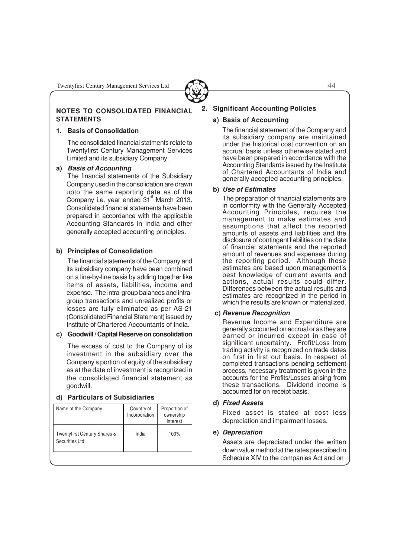Twentyfirst Century Management Services Ltd  $\mathbb{Z}^{\setminus}$ 



# **NOTES TO CONSOLIDATED FINANCIAL STATEMENTS**

#### **1. Basis of Consolidation**

The consolidated financial statments relate to Twentyfirst Century Management Services Limited and its subsidiary Company.

#### **a) Basis of Accounting**

The financial statements of the Subsidiary Company used in the consolidation are drawn upto the same reporting date as of the Company i.e. year ended 31<sup>st</sup> March 2013. Consolidated financial statements have been prepared in accordance with the applicable Accounting Standards in India and other generally accepted accounting principles.

# **b) Principles of Consolidation**

The financial statements of the Company and its subsidiary company have been combined on a line-by-line basis by adding together like items of assets, liabilities, income and expense. The intra-group balances and intragroup transactions and unrealized profits or losses are fully eliminated as per AS-21 (Consolidated Financial Statement) issued by Institute of Chartered Accountants of India.

# **c) Goodwill / Capital Reserve on consolidation**

The excess of cost to the Company of its investment in the subsidiary over the Company's portion of equity of the subsidiary as at the date of investment is recognized in the consolidated financial statement as goodwill.

**d) Particulars of Subsidiaries**

| Name of the Company                                              | Country of<br>Incorporation | Proportion of<br>ownership<br>interest |
|------------------------------------------------------------------|-----------------------------|----------------------------------------|
| <b>Twentyfirst Century Shares &amp;</b><br><b>Securities Ltd</b> | India                       | 100%                                   |

# **2. Significant Accounting Policies**

# **a) Basis of Accounting**

The financial statement of the Company and its subsidiary company are maintained under the historical cost convention on an accrual basis unless otherwise stated and have been prepared in accordance with the Accounting Standards issued by the Institute of Chartered Accountants of India and generally accepted accounting principles.

# **b) Use of Estimates**

The preparation of financial statements are in conformity with the Generally Accepted Accounting Principles, requires the management to make estimates and assumptions that affect the reported amounts of assets and liabilities and the disclosure of contingent liabilities on the date of financial statements and the reported amount of revenues and expenses during the reporting period. Although these estimates are based upon management's best knowledge of current events and actions, actual results could differ. Differences between the actual results and estimates are recognized in the period in which the results are known or materialized.

# **c) Revenue Recognition**

Revenue Income and Expenditure are generally accounted on accrual or as they are earned or incurred except in case of significant uncertainty. Profit/Loss from trading activity is recognized on trade dates on first in first out basis. In respect of completed transactions pending settlement process, necessary treatment is given in the accounts for the Profits/Losses arising from these transactions. Dividend income is accounted for on receipt basis.

# **d) Fixed Assets**

Fixed asset is stated at cost less depreciation and impairment losses.

# **e) Depreciation**

Assets are depreciated under the written down value method at the rates prescribed in Schedule XIV to the companies Act and on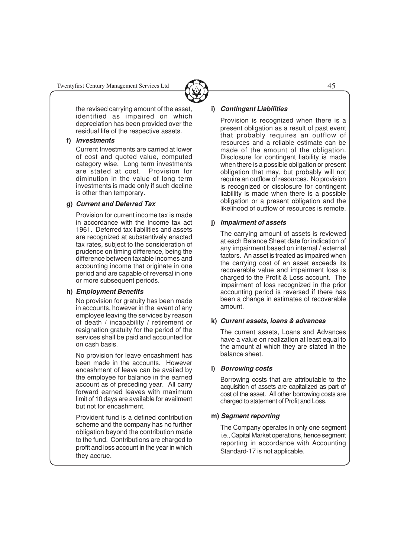Twentyfirst Century Management Services Ltd  $\sqrt{2\Delta}$  45



the revised carrying amount of the asset, identified as impaired on which depreciation has been provided over the residual life of the respective assets.

#### **f) Investments**

Current Investments are carried at lower of cost and quoted value, computed category wise. Long term investments are stated at cost. Provision for diminution in the value of long term investments is made only if such decline is other than temporary.

# **g) Current and Deferred Tax**

Provision for current income tax is made in accordance with the Income tax act 1961. Deferred tax liabilities and assets are recognized at substantively enacted tax rates, subject to the consideration of prudence on timing difference, being the difference between taxable incomes and accounting income that originate in one period and are capable of reversal in one or more subsequent periods.

#### **h) Employment Benefits**

No provision for gratuity has been made in accounts, however in the event of any employee leaving the services by reason of death / incapability / retirement or resignation gratuity for the period of the services shall be paid and accounted for on cash basis.

No provision for leave encashment has been made in the accounts. However encashment of leave can be availed by the employee for balance in the earned account as of preceding year. All carry forward earned leaves with maximum limit of 10 days are available for availment but not for encashment.

Provident fund is a defined contribution scheme and the company has no further obligation beyond the contribution made to the fund. Contributions are charged to profit and loss account in the year in which they accrue.

# **i) Contingent Liabilities**

Provision is recognized when there is a present obligation as a result of past event that probably requires an outflow of resources and a reliable estimate can be made of the amount of the obligation. Disclosure for contingent liability is made when there is a possible obligation or present obligation that may, but probably will not require an outflow of resources. No provision is recognized or disclosure for contingent liabillity is made when there is a possible obligation or a present obligation and the likelihood of outflow of resources is remote.

# **j) Impairment of assets**

The carrying amount of assets is reviewed at each Balance Sheet date for indication of any impairment based on internal / external factors. An asset is treated as impaired when the carrying cost of an asset exceeds its recoverable value and impairment loss is charged to the Profit & Loss account. The impairment of loss recognized in the prior accounting period is reversed if there has been a change in estimates of recoverable amount.

# **k) Current assets, loans & advances**

The current assets, Loans and Advances have a value on realization at least equal to the amount at which they are stated in the balance sheet.

# **l) Borrowing costs**

Borrowing costs that are attributable to the acquisition of assets are capitalized as part of cost of the asset. All other borrowing costs are charged to statement of Profit and Loss.

# **m) Segment reporting**

The Company operates in only one segment i.e., Capital Market operations, hence segment reporting in accordance with Accounting Standard-17 is not applicable.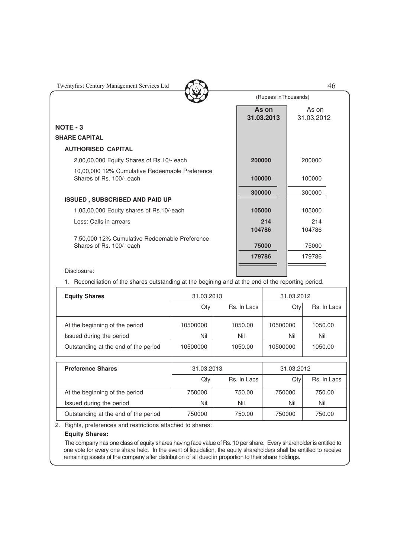| Twentyfirst Century Management Services Ltd                                                         |            |             |                      |            | 46                  |
|-----------------------------------------------------------------------------------------------------|------------|-------------|----------------------|------------|---------------------|
|                                                                                                     |            |             | (Rupees inThousands) |            |                     |
|                                                                                                     |            |             | As on<br>31.03.2013  |            | As on<br>31.03.2012 |
| $NOTE - 3$                                                                                          |            |             |                      |            |                     |
| <b>SHARE CAPITAL</b>                                                                                |            |             |                      |            |                     |
| <b>AUTHORISED CAPITAL</b>                                                                           |            |             |                      |            |                     |
| 2,00,00,000 Equity Shares of Rs.10/- each                                                           |            | 200000      |                      |            | 200000              |
| 10,00,000 12% Cumulative Redeemable Preference<br>Shares of Rs. 100/- each                          |            | 100000      |                      |            | 100000              |
|                                                                                                     |            | 300000      |                      |            | 300000              |
| <b>ISSUED, SUBSCRIBED AND PAID UP</b>                                                               |            |             |                      |            |                     |
| 1,05,00,000 Equity shares of Rs.10/-each                                                            |            | 105000      |                      |            | 105000              |
| Less: Calls in arrears                                                                              |            | 104786      | 214                  |            | 214<br>104786       |
| 7,50,000 12% Cumulative Redeemable Preference<br>Shares of Rs. 100/- each                           |            |             | 75000                |            | 75000               |
|                                                                                                     |            | 179786      |                      |            | 179786              |
| Disclosure:                                                                                         |            |             |                      |            |                     |
| 1. Reconciliation of the shares outstanding at the begining and at the end of the reporting period. |            |             |                      |            |                     |
| <b>Equity Shares</b>                                                                                | 31.03.2013 |             |                      | 31.03.2012 |                     |
|                                                                                                     | Qty        | Rs. In Lacs |                      | Qty        | Rs. In Lacs         |
|                                                                                                     |            |             |                      |            |                     |
| At the beginning of the period                                                                      | 10500000   | 1050.00     | 10500000             |            | 1050.00             |
| Issued during the period                                                                            | Nil        | Nil         |                      | Nil        | Nil                 |
| Outstanding at the end of the period                                                                | 10500000   | 1050.00     | 10500000             |            | 1050.00             |
| <b>Preference Shares</b>                                                                            | 31.03.2013 |             |                      | 31.03.2012 |                     |
|                                                                                                     | Qty        | Rs. In Lacs |                      | Qty        | Rs. In Lacs         |
| At the beginning of the period                                                                      | 750000     | 750.00      | 750000               |            | 750.00              |
| Issued during the period                                                                            | Nil        | Nil         |                      | Nil        | Nil                 |
| Outstanding at the end of the period                                                                | 750000     | 750.00      | 750000               |            | 750.00              |
| 2. Rights, preferences and restrictions attached to shares:                                         |            |             |                      |            |                     |

**Equity Shares:**

The company has one class of equity shares having face value of Rs. 10 per share. Every shareholder is entitled to one vote for every one share held. In the event of liquidation, the equity shareholders shall be entitled to receive remaining assets of the company after distribution of all dued in proportion to their share holdings.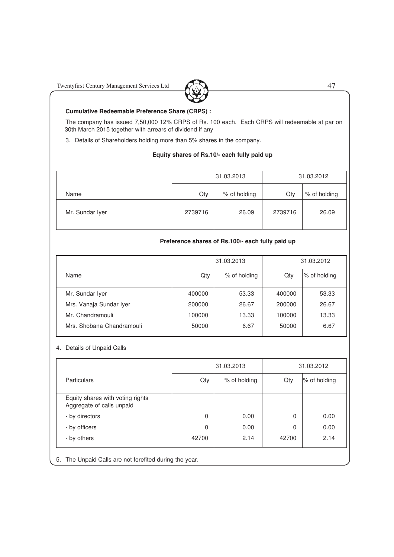

#### **Cumulative Redeemable Preference Share (CRPS) :**

The company has issued 7,50,000 12% CRPS of Rs. 100 each. Each CRPS will redeemable at par on 30th March 2015 together with arrears of dividend if any

3. Details of Shareholders holding more than 5% shares in the company.

#### **Equity shares of Rs.10/- each fully paid up**

|                 | 31.03.2013 |              | 31.03.2012 |              |  |
|-----------------|------------|--------------|------------|--------------|--|
| Name            | Qty        | % of holding | Qty        | % of holding |  |
| Mr. Sundar Iyer | 2739716    | 26.09        | 2739716    | 26.09        |  |

#### **Preference shares of Rs.100/- each fully paid up**

|                           | 31.03.2013 |              |        | 31.03.2012   |
|---------------------------|------------|--------------|--------|--------------|
| Name                      | Qty        | % of holding | Qty    | % of holding |
| Mr. Sundar Iyer           | 400000     | 53.33        | 400000 | 53.33        |
| Mrs. Vanaja Sundar Iyer   | 200000     | 26.67        | 200000 | 26.67        |
| Mr. Chandramouli          | 100000     | 13.33        | 100000 | 13.33        |
| Mrs. Shobana Chandramouli | 50000      | 6.67         | 50000  | 6.67         |

#### 4. Details of Unpaid Calls

|                                                               | 31.03.2013 |              | 31.03.2012 |                 |  |
|---------------------------------------------------------------|------------|--------------|------------|-----------------|--|
| <b>Particulars</b>                                            | Qty        | % of holding | Qty        | $\%$ of holding |  |
| Equity shares with voting rights<br>Aggregate of calls unpaid |            |              |            |                 |  |
| - by directors                                                | $\Omega$   | 0.00         | 0          | 0.00            |  |
| - by officers                                                 | 0          | 0.00         | 0          | 0.00            |  |
| - by others                                                   | 42700      | 2.14         | 42700      | 2.14            |  |

5. The Unpaid Calls are not forefited during the year.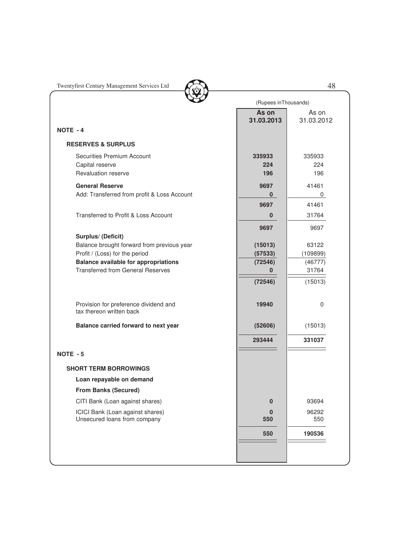Twentyfirst Century Management Services Ltd 48



|                                             | (Rupees in Thousands) |                  |
|---------------------------------------------|-----------------------|------------------|
|                                             | As on                 | As on            |
|                                             | 31.03.2013            | 31.03.2012       |
| NOTE - 4                                    |                       |                  |
| <b>RESERVES &amp; SURPLUS</b>               |                       |                  |
| Securities Premium Account                  | 335933                | 335933           |
| Capital reserve                             | 224                   | 224              |
| Revaluation reserve                         | 196                   | 196              |
| <b>General Reserve</b>                      | 9697                  | 41461            |
| Add: Transferred from profit & Loss Account | $\mathbf{0}$          | 0                |
|                                             | 9697                  | 41461            |
| Transferred to Profit & Loss Account        | $\mathbf{0}$          | 31764            |
|                                             | 9697                  | 9697             |
| Surplus/ (Deficit)                          |                       |                  |
| Balance brought forward from previous year  | (15013)               | 63122            |
| Profit / (Loss) for the period              | (57533)               | (109899)         |
| <b>Balance available for appropriations</b> | (72546)               | (46777)          |
| <b>Transferred from General Reserves</b>    | $\mathbf{0}$          | 31764            |
|                                             | (72546)               | (15013)          |
|                                             |                       |                  |
| Provision for preference dividend and       | 19940                 | $\boldsymbol{0}$ |
| tax thereon written back                    |                       |                  |
| Balance carried forward to next year        | (52606)               | (15013)          |
|                                             | 293444                | 331037           |
|                                             |                       |                  |
| NOTE - 5                                    |                       |                  |
| <b>SHORT TERM BORROWINGS</b>                |                       |                  |
| Loan repayable on demand                    |                       |                  |
| <b>From Banks (Secured)</b>                 |                       |                  |
| CITI Bank (Loan against shares)             | $\mathbf 0$           | 93694            |
| ICICI Bank (Loan against shares)            | 0                     | 96292            |
| Unsecured loans from company                | 550                   | 550              |
|                                             | 550                   | 190536           |
|                                             |                       |                  |
|                                             |                       |                  |
|                                             |                       |                  |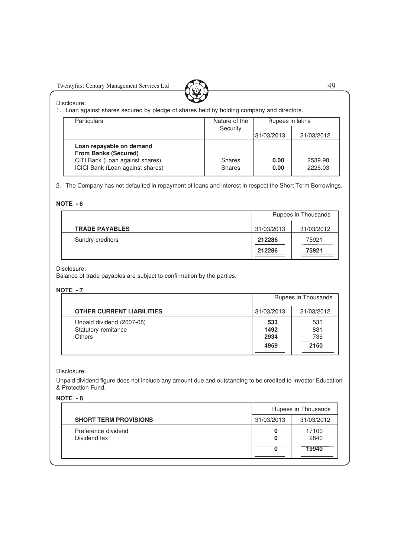Twentyfirst Century Management Services Ltd  $\sqrt{2\Delta}$  49



Disclosure:

1. Loan against shares secured by pledge of shares held by holding company and directors.

| <b>Particulars</b>                                                                                                             | Nature of the    | Rupees in lakhs |                    |
|--------------------------------------------------------------------------------------------------------------------------------|------------------|-----------------|--------------------|
|                                                                                                                                | Security         | 31/03/2013      | 31/03/2012         |
| Loan repayable on demand<br><b>From Banks (Secured)</b><br>CITI Bank (Loan against shares)<br>ICICI Bank (Loan against shares) | Shares<br>Shares | 0.00<br>0.00    | 2539.98<br>2226.03 |

2. The Company has not defaulted in repayment of loans and interest in respect the Short Term Borrowings.

# **NOTE - 6**

|                       | Rupees in Thousands |            |  |
|-----------------------|---------------------|------------|--|
| <b>TRADE PAYABLES</b> | 31/03/2013          | 31/03/2012 |  |
| Sundry creditors      | 212286              | 75921      |  |
|                       | 212286              | 75921      |  |

#### Disclosure:

Balance of trade payables are subject to confirmation by the parties.

# **NOTE - 7**

|                                                                   | Rupees in Thousands         |                           |  |
|-------------------------------------------------------------------|-----------------------------|---------------------------|--|
| <b>OTHER CURRENT LIABILITIES</b>                                  | 31/03/2013                  | 31/03/2012                |  |
| Unpaid dividend (2007-08)<br>Statutory remitance<br><b>Others</b> | 533<br>1492<br>2934<br>4959 | 533<br>881<br>736<br>2150 |  |

Disclosure:

Unpaid dividend figure does not include any amount due and outstanding to be credited to Investor Education & Protection Fund.

**NOTE - 8**

|                                     |            | Rupees in Thousands |  |  |
|-------------------------------------|------------|---------------------|--|--|
| <b>SHORT TERM PROVISIONS</b>        | 31/03/2013 | 31/03/2012          |  |  |
| Preference dividend<br>Dividend tax |            | 17100<br>2840       |  |  |
|                                     |            | 19940               |  |  |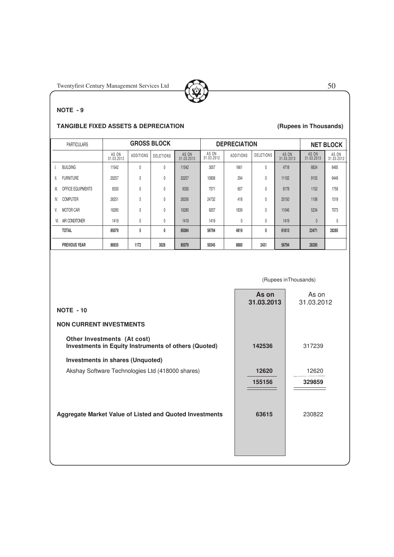

# **NOTE - 9**

# **TANGIBLE FIXED ASSETS & DEPRECIATION (Rupees in Thousands)**

|      | <b>PARTICULARS</b>   |                     |           | <b>GROSS BLOCK</b><br><b>DEPRECIATION</b> |                     |                     | <b>NET BLOCK</b> |                  |                     |                     |                     |
|------|----------------------|---------------------|-----------|-------------------------------------------|---------------------|---------------------|------------------|------------------|---------------------|---------------------|---------------------|
|      |                      | AS ON<br>31.03.2012 | ADDITIONS | <b>DELETIONS</b>                          | AS ON<br>31.03.2013 | AS ON<br>31.03.2012 | ADDITIONS        | <b>DELETIONS</b> | AS ON<br>31.03.2013 | AS ON<br>31.03.2013 | AS ON<br>31.03.2012 |
|      | <b>BUILDING</b>      | 11542               | 0         | 0                                         | 11542               | 3057                | 1661             | 0                | 4718                | 6824                | 8485                |
| II.  | <b>FURNITURE</b>     | 20257               | 0         | 0                                         | 20257               | 10808               | 294              | 0                | 11102               | 9155                | 9449                |
| III. | OFFICE EQUIPMENTS    | 9330                | 0         | 0                                         | 9330                | 7571                | 607              | 0                | 8178                | 1152                | 1759                |
| IV.  | <b>COMPUTER</b>      | 26251               | 5         | 0                                         | 26256               | 24732               | 418              | 0                | 25150               | 1106                | 1519                |
| V.   | <b>MOTOR CAR</b>     | 16280               | 0         | 0                                         | 16280               | 9207                | 1839             | 0                | 11046               | 5234                | 7073                |
| VI.  | AIR CONDITONER       | 1419                | 0         | 0                                         | 1419                | 1419                | 0                | 0                | 1419                | $\mathbf{0}$        | 0                   |
|      | <b>TOTAL</b>         | 85079               | 5         | 0                                         | 85084               | 56794               | 4819             | 0                | 61613               | 23471               | 28285               |
|      | <b>PREVIOUS YEAR</b> | 86935               | 1172      | 3028                                      | 85079               | 50345               | 8880             | 2431             | 56794               | 28285               |                     |

|                                                                                            | (Rupees inThousands) |                     |  |
|--------------------------------------------------------------------------------------------|----------------------|---------------------|--|
|                                                                                            | As on<br>31.03.2013  | As on<br>31.03.2012 |  |
| <b>NOTE - 10</b>                                                                           |                      |                     |  |
| <b>NON CURRENT INVESTMENTS</b>                                                             |                      |                     |  |
| Other Investments (At cost)<br><b>Investments in Equity Instruments of others (Quoted)</b> | 142536               | 317239              |  |
| <b>Investments in shares (Unquoted)</b>                                                    |                      |                     |  |
| Akshay Software Technologies Ltd (418000 shares)                                           | 12620                | 12620               |  |
|                                                                                            | 155156               | 329859              |  |
| Aggregate Market Value of Listed and Quoted Investments                                    | 63615                | 230822              |  |
|                                                                                            |                      |                     |  |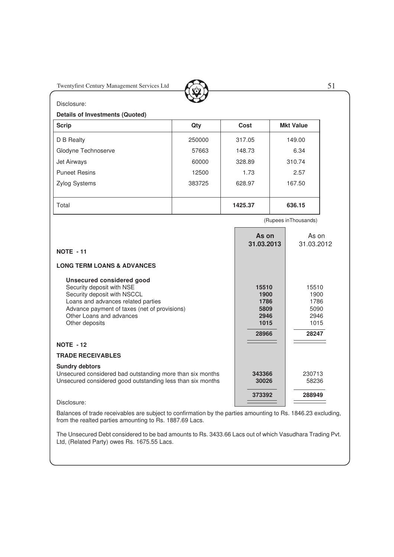

Disclosure:

**Details of Investments (Quoted)**

| <b>Scrip</b>         | Qty    | Cost    | <b>Mkt Value</b> |
|----------------------|--------|---------|------------------|
| D B Realty           | 250000 | 317.05  | 149.00           |
| Glodyne Technoserve  | 57663  | 148.73  | 6.34             |
| Jet Airways          | 60000  | 328.89  | 310.74           |
| <b>Puneet Resins</b> | 12500  | 1.73    | 2.57             |
| <b>Zylog Systems</b> | 383725 | 628.97  | 167.50           |
|                      |        |         |                  |
| Total                |        | 1425.37 | 636.15           |

|                                                                                                                                                                                                                                  | (Rupees in Thousands)                                  |                                                        |  |
|----------------------------------------------------------------------------------------------------------------------------------------------------------------------------------------------------------------------------------|--------------------------------------------------------|--------------------------------------------------------|--|
| <b>NOTE - 11</b>                                                                                                                                                                                                                 | As on<br>31.03.2013                                    | As on<br>31.03.2012                                    |  |
| <b>LONG TERM LOANS &amp; ADVANCES</b>                                                                                                                                                                                            |                                                        |                                                        |  |
| <b>Unsecured considered good</b><br>Security deposit with NSE<br>Security deposit with NSCCL<br>Loans and advances related parties<br>Advance payment of taxes (net of provisions)<br>Other Loans and advances<br>Other deposits | 15510<br>1900<br>1786<br>5809<br>2946<br>1015<br>28966 | 15510<br>1900<br>1786<br>5090<br>2946<br>1015<br>28247 |  |
| <b>NOTE - 12</b>                                                                                                                                                                                                                 |                                                        |                                                        |  |
| <b>TRADE RECEIVABLES</b>                                                                                                                                                                                                         |                                                        |                                                        |  |
| <b>Sundry debtors</b><br>Unsecured considered bad outstanding more than six months<br>Unsecured considered good outstanding less than six months                                                                                 | 343366<br>30026                                        | 230713<br>58236                                        |  |
|                                                                                                                                                                                                                                  | 373392                                                 | 288949                                                 |  |

Disclosure:

Balances of trade receivables are subject to confirmation by the parties amounting to Rs. 1846.23 excluding, from the realted parties amounting to Rs. 1887.69 Lacs.

The Unsecured Debt considered to be bad amounts to Rs. 3433.66 Lacs out of which Vasudhara Trading Pvt. Ltd, (Related Party) owes Rs. 1675.55 Lacs.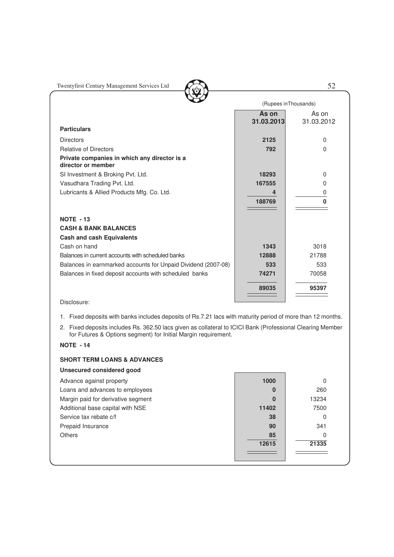Twentyfirst Century Management Services Ltd  $\sqrt{2\pi}$ 

|                                                                    |            | (Rupees in Thousands) |
|--------------------------------------------------------------------|------------|-----------------------|
|                                                                    | As on      | As on                 |
|                                                                    | 31.03.2013 | 31.03.2012            |
| <b>Particulars</b>                                                 |            |                       |
| <b>Directors</b>                                                   | 2125       | 0                     |
| <b>Relative of Directors</b>                                       | 792        | $\Omega$              |
| Private companies in which any director is a<br>director or member |            |                       |
| SI Investment & Broking Pvt. Ltd.                                  | 18293      | 0                     |
| Vasudhara Trading Pvt. Ltd.                                        | 167555     | $\Omega$              |
| Lubricants & Allied Products Mfg. Co. Ltd.                         | 4          | 0                     |
|                                                                    | 188769     | $\bf{0}$              |
|                                                                    |            |                       |
| <b>NOTE - 13</b>                                                   |            |                       |
| <b>CASH &amp; BANK BALANCES</b>                                    |            |                       |
| <b>Cash and cash Equivalents</b>                                   |            |                       |
| Cash on hand                                                       | 1343       | 3018                  |
| Balances in current accounts with scheduled banks                  | 12888      | 21788                 |
| Balances in earnmarked accounts for Unpaid Dividend (2007-08)      | 533        | 533                   |
| Balances in fixed deposit accounts with scheduled banks            | 74271      | 70058                 |
|                                                                    | 89035      | 95397                 |
| Disclosure:                                                        |            |                       |

1. Fixed deposits with banks includes deposits of Rs.7.21 lacs with maturity period of more than 12 months.

2. Fixed deposits includes Rs. 362.50 lacs given as collateral to ICICI Bank (Professional Clearing Member for Futures & Options segment) for Initial Margin requirement.

**NOTE - 14**

# **SHORT TERM LOANS & ADVANCES**

| Unsecured considered good          |       |       |
|------------------------------------|-------|-------|
| Advance against property           | 1000  | 0     |
| Loans and advances to employees    | 0     | 260   |
| Margin paid for derivative segment | 0     | 13234 |
| Additional base capital with NSE   | 11402 | 7500  |
| Service tax rebate c/f             | 38    | 0     |
| Prepaid Insurance                  | 90    | 341   |
| <b>Others</b>                      | 85    | 0     |
|                                    | 12615 | 21335 |
|                                    |       |       |
|                                    |       |       |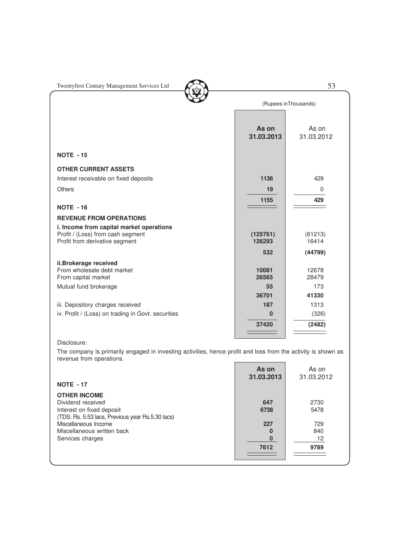| Twentyfirst Century Management Services Ltd                                                                                               |                     | 53                   |
|-------------------------------------------------------------------------------------------------------------------------------------------|---------------------|----------------------|
|                                                                                                                                           |                     | (Rupees inThousands) |
|                                                                                                                                           | As on<br>31.03.2013 | As on<br>31.03.2012  |
| <b>NOTE - 15</b>                                                                                                                          |                     |                      |
| <b>OTHER CURRENT ASSETS</b>                                                                                                               |                     |                      |
| Interest receivable on fixed deposits                                                                                                     | 1136                | 429                  |
| <b>Others</b>                                                                                                                             | 19                  | 0                    |
|                                                                                                                                           | 1155                | 429                  |
| <b>NOTE - 16</b>                                                                                                                          |                     |                      |
| <b>REVENUE FROM OPERATIONS</b>                                                                                                            |                     |                      |
| i. Income from capital market operations<br>Profit / (Loss) from cash segment<br>Profit from derivative segment                           | (125761)<br>126293  | (61213)<br>16414     |
|                                                                                                                                           | 532                 | (44799)              |
| ii.Brokerage received                                                                                                                     |                     |                      |
| From wholesale debt market                                                                                                                | 10081               | 12678                |
| From capital market                                                                                                                       | 26565<br>55         | 28479<br>173         |
| Mutual fund brokerage                                                                                                                     | 36701               | 41330                |
| iii. Depository charges received                                                                                                          | 187                 | 1313                 |
| iv. Profit / (Loss) on trading in Govt. securities                                                                                        | $\bf{0}$            | (326)                |
|                                                                                                                                           | 37420               | (2482)               |
|                                                                                                                                           |                     |                      |
| Disclosure:                                                                                                                               |                     |                      |
| The company is primarily engaged in investing activities, hence profit and loss from the activity is shown as<br>revenue from operations. |                     |                      |
|                                                                                                                                           | As on               | As on                |
|                                                                                                                                           | 31.03.2013          | 31.03.2012           |
| <b>NOTE - 17</b>                                                                                                                          |                     |                      |
| <b>OTHER INCOME</b><br>Dividend received                                                                                                  | 647                 | 2730                 |

**7612 9789**

 $\overline{a}$ 

Interest on fixed deposit **6738** 5478 (TDS: Rs. 5.53 lacs, Previous year Rs.5.30 lacs) Miscellaneous Income **227** 729 Miscellaneous written back **0** 840<br>Services charges 12 Services charges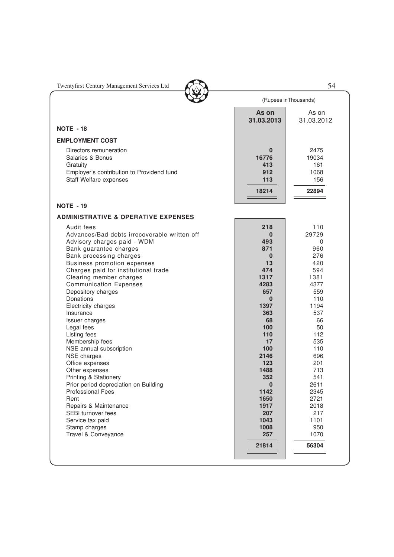| Twentyfirst Century Management Services Ltd                                                                                                                                                                                                                                                                                                                                                                                                                                                                                                                                                                                                                                                    |                                                                                                                                                                                                | 54                                                                                                                                                                                                     |
|------------------------------------------------------------------------------------------------------------------------------------------------------------------------------------------------------------------------------------------------------------------------------------------------------------------------------------------------------------------------------------------------------------------------------------------------------------------------------------------------------------------------------------------------------------------------------------------------------------------------------------------------------------------------------------------------|------------------------------------------------------------------------------------------------------------------------------------------------------------------------------------------------|--------------------------------------------------------------------------------------------------------------------------------------------------------------------------------------------------------|
|                                                                                                                                                                                                                                                                                                                                                                                                                                                                                                                                                                                                                                                                                                |                                                                                                                                                                                                | (Rupees inThousands)                                                                                                                                                                                   |
| <b>NOTE - 18</b>                                                                                                                                                                                                                                                                                                                                                                                                                                                                                                                                                                                                                                                                               | As on<br>31.03.2013                                                                                                                                                                            | As on<br>31.03.2012                                                                                                                                                                                    |
| <b>EMPLOYMENT COST</b>                                                                                                                                                                                                                                                                                                                                                                                                                                                                                                                                                                                                                                                                         |                                                                                                                                                                                                |                                                                                                                                                                                                        |
| Directors remuneration<br>Salaries & Bonus<br>Gratuity<br>Employer's contribution to Providend fund<br>Staff Welfare expenses                                                                                                                                                                                                                                                                                                                                                                                                                                                                                                                                                                  | 0<br>16776<br>413<br>912<br>113<br>18214                                                                                                                                                       | 2475<br>19034<br>161<br>1068<br>156<br>22894                                                                                                                                                           |
| <b>NOTE - 19</b>                                                                                                                                                                                                                                                                                                                                                                                                                                                                                                                                                                                                                                                                               |                                                                                                                                                                                                |                                                                                                                                                                                                        |
| <b>ADMINISTRATIVE &amp; OPERATIVE EXPENSES</b>                                                                                                                                                                                                                                                                                                                                                                                                                                                                                                                                                                                                                                                 |                                                                                                                                                                                                |                                                                                                                                                                                                        |
| Audit fees<br>Advances/Bad debts irrecoverable written off<br>Advisory charges paid - WDM<br>Bank guarantee charges<br>Bank processing charges<br>Business promotion expenses<br>Charges paid for institutional trade<br>Clearing member charges<br><b>Communication Expenses</b><br>Depository charges<br>Donations<br>Electricity charges<br>Insurance<br>Issuer charges<br>Legal fees<br>Listing fees<br>Membership fees<br>NSE annual subscription<br>NSE charges<br>Office expenses<br>Other expenses<br><b>Printing &amp; Stationery</b><br>Prior period depreciation on Building<br><b>Professional Fees</b><br>Rent<br>Repairs & Maintenance<br>SEBI turnover fees<br>Service tax paid | 218<br>0<br>493<br>871<br>0<br>13<br>474<br>1317<br>4283<br>657<br>0<br>1397<br>363<br>68<br>100<br>110<br>17<br>100<br>2146<br>123<br>1488<br>352<br>0<br>1142<br>1650<br>1917<br>207<br>1043 | 110<br>29729<br>0<br>960<br>276<br>420<br>594<br>1381<br>4377<br>559<br>110<br>1194<br>537<br>66<br>50<br>112<br>535<br>110<br>696<br>201<br>713<br>541<br>2611<br>2345<br>2721<br>2018<br>217<br>1101 |
| Stamp charges<br>Travel & Conveyance                                                                                                                                                                                                                                                                                                                                                                                                                                                                                                                                                                                                                                                           | 1008<br>257<br>21814                                                                                                                                                                           | 950<br>1070<br>56304                                                                                                                                                                                   |
|                                                                                                                                                                                                                                                                                                                                                                                                                                                                                                                                                                                                                                                                                                |                                                                                                                                                                                                |                                                                                                                                                                                                        |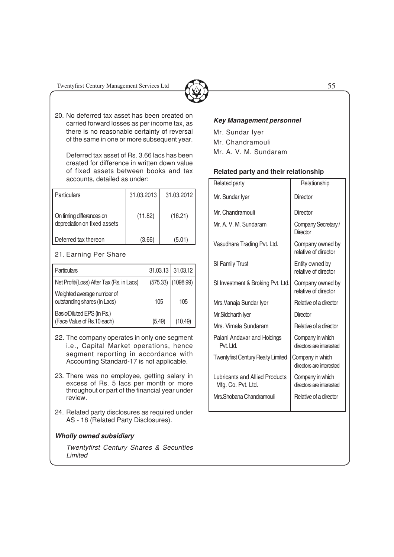#### Twentyfirst Century Management Services Ltd  $\sqrt{2\Delta}$  55



20. No deferred tax asset has been created on carried forward losses as per income tax, as there is no reasonable certainty of reversal of the same in one or more subsequent year.

Deferred tax asset of Rs. 3.66 lacs has been created for difference in written down value of fixed assets between books and tax accounts, detailed as under:

| Particulars                                              | 31.03.2013 | 31.03.2012 |
|----------------------------------------------------------|------------|------------|
| On timing differences on<br>depreciation on fixed assets | (11.82)    | (16.21)    |
| Deferred tax thereon                                     | (3.66)     | (5.01)     |

#### 21. Earning Per Share

| Particulars                                                |          | 31.03.13 31.03.12 |
|------------------------------------------------------------|----------|-------------------|
| Net Profit/(Loss) After Tax (Rs. in Lacs)                  | (575.33) | (1098.99)         |
| Weighted average number of<br>outstanding shares (In Lacs) | 105      | 105               |
| Basic/Diluted EPS (in Rs.)<br>(Face Value of Rs.10 each)   | (5.49)   | (10.49)           |

- 22. The company operates in only one segment i.e., Capital Market operations, hence segment reporting in accordance with Accounting Standard-17 is not applicable.
- 23. There was no employee, getting salary in excess of Rs. 5 lacs per month or more throughout or part of the financial year under review.
- 24. Related party disclosures as required under AS - 18 (Related Party Disclosures).

# **Wholly owned subsidiary**

Twentyfirst Century Shares & Securities **Limited** 

# **Key Management personnel**

- Mr. Sundar Iyer Mr. Chandramouli
- Mr. A. V. M. Sundaram
- 

# **Related party and their relationship**

| Related party                                        | Relationship                                 |
|------------------------------------------------------|----------------------------------------------|
| Mr. Sundar Iyer                                      | Director                                     |
| Mr. Chandramouli                                     | Director                                     |
| Mr. A. V. M. Sundaram                                | Company Secretary /<br><b>Director</b>       |
| Vasudhara Trading Pvt. Ltd.                          | Company owned by<br>relative of director     |
| SI Family Trust                                      | Entity owned by<br>relative of director      |
| SI Investment & Broking Pvt. Ltd.                    | Company owned by<br>relative of director     |
| Mrs. Vanaja Sundar Iyer                              | Relative of a director                       |
| Mr.Siddharth Iyer                                    | Director                                     |
| Mrs. Vimala Sundaram                                 | Relative of a director                       |
| Palani Andavar and Holdings<br>Pvt. Ltd.             | Company in which<br>directors are interested |
| <b>Twentyfirst Century Realty Limited</b>            | Company in which<br>directors are interested |
| Lubricants and Allied Products<br>Mfg. Co. Pvt. Ltd. | Company in which<br>directors are interested |
| Mrs.Shobana Chandramouli                             | Relative of a director                       |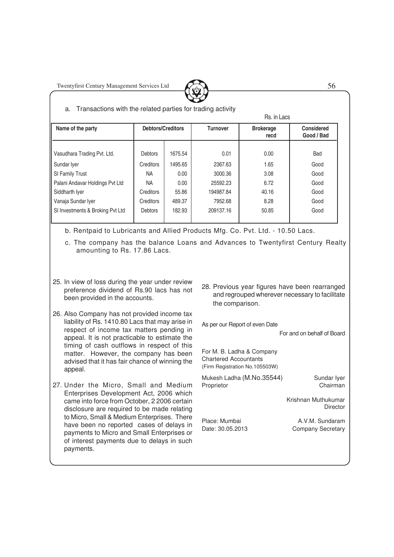

#### a. Transactions with the related parties for trading activity

|                                  |                          |         |           | Rs. in Lacs              |                                 |
|----------------------------------|--------------------------|---------|-----------|--------------------------|---------------------------------|
| Name of the party                | <b>Debtors/Creditors</b> |         | Turnover  | <b>Brokerage</b><br>recd | <b>Considered</b><br>Good / Bad |
| Vasudhara Trading Pvt. Ltd.      | <b>Debtors</b>           | 1675.54 | 0.01      | 0.00                     | Bad                             |
| Sundar Iver                      | Creditors                | 1495.65 | 2367.63   | 1.65                     | Good                            |
| SI Family Trust                  | NA                       | 0.00    | 3000.36   | 3.08                     | Good                            |
| Palani Andavar Holdings Pvt Ltd  | NA.                      | 0.00    | 25592.23  | 6.72                     | Good                            |
| Siddharth Iver                   | <b>Creditors</b>         | 55.86   | 194987.84 | 40.16                    | Good                            |
| Vanaja Sundar Iyer               | Creditors                | 489.37  | 7952.68   | 8.28                     | Good                            |
| SI Investments & Broking Pvt Ltd | <b>Debtors</b>           | 182.93  | 209137.16 | 50.85                    | Good                            |

b. Rentpaid to Lubricants and Allied Products Mfg. Co. Pvt. Ltd. - 10.50 Lacs.

c. The company has the balance Loans and Advances to Twentyfirst Century Realty amounting to Rs. 17.86 Lacs.

- 25. In view of loss during the year under review preference dividend of Rs.90 lacs has not been provided in the accounts.
- 26. Also Company has not provided income tax liability of Rs. 1410.80 Lacs that may arise in respect of income tax matters pending in appeal. It is not practicable to estimate the timing of cash outflows in respect of this matter. However, the company has been advised that it has fair chance of winning the appeal.
- 27. Under the Micro, Small and Medium Enterprises Development Act, 2006 which came into force from October, 2 2006 certain disclosure are required to be made relating to Micro, Small & Medium Enterprises. There have been no reported cases of delays in payments to Micro and Small Enterprises or of interest payments due to delays in such payments.

28. Previous year figures have been rearranged and regrouped wherever necessary to facilitate the comparison.

As per our Report of even Date

For and on behalf of Board

For M. B. Ladha & Company Chartered Accountants (Firm Registration No.105503W)

Mukesh Ladha (M.No.35544) Sundar Iyer Proprietor Chairman

Krishnan Muthukumar **Director** 

Place: Mumbai **A.V.M.** Sundaram Date: 30.05.2013 Company Secretary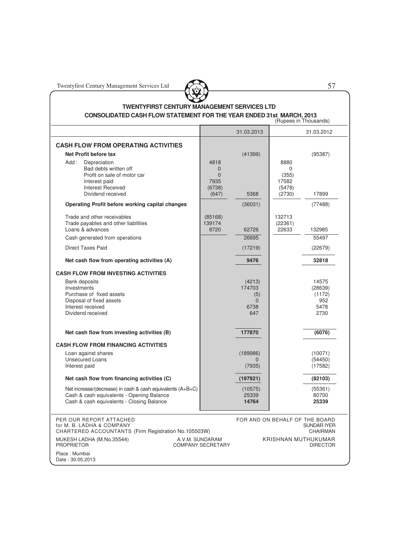Twentyfirst Century Management Services Ltd  $\sqrt{2\Delta}$  57



# **CONSOLIDATED CASH FLOW STATEMENT FOR THE YEAR ENDED 31st MARCH, 2013 TWENTYFIRST CENTURY MANAGEMENT SERVICES LTD**

 31.03.2013 31.03.2012 **CASH FLOW FROM OPERATING ACTIVITIES Net Profit before tax** (41399) (95387) Add : Depreciation **Add** : Depreciation **1990** 8880 Bad debts written off 0 0 Profit on sale of motor car 0 (355) 1985 Interest paid<br>
Interest Received<br>
17582<br>
(6738)<br>
200738) Interest Received Dividend received (647) 5368 (2730) 17899 **Operating Profit before working capital changes** (36031) (36031) (77488) Trade and other receivables (85168) 132713<br>Trade payables and other liabilities (22361) 132713 Trade payables and other liabilities<br>
Loans & advances<br>
139174 (2726) Loans & advances 8720 62726 22633 132985 Cash generated from operations 26695 55497 Direct Taxes Paid (17219) (22679) **Net cash flow from operating activities (A) 1 1 9476 1 9476 1 32818 CASH FLOW FROM INVESTING ACTIVITIES** Bank deposits and the set of the set of the set of the set of the set of the set of the set of the set of the s Investments 174703 (28639) Purchase of fixed assets (5) (1172)<br>Disposal of fixed assets (5) (1172) (1172) Disposal of fixed assets and the control of the control of the control of the control of the control of the control of the control of the control of the control of the control of the control of the control of the control o Interest received Dividend received 2730 **Net cash flow from investing activities (B)** 177870 **127870 127870 12876 CASH FLOW FROM FINANCING ACTIVITIES** Loan against shares (189986) (10071) Unsecured Loans (54450)<br>
Interest paid (54450)<br>
(17582) Interest paid **Net cash flow from financing activities (C) (197921) (82103)** Net increase/(decrease) in cash & cash equivalents (A+B+C) (10575) (10575) (55361) (55361) (35361) (35361) Cash & cash equivalents - Opening Balance 25339 25339 80700 25339 80700 25339 80700 Cash & cash equivalents - Closing Balance PER OUR REPORT ATTACHED FOR AND ON BEHALF OF THE BOARD<br>for M. B. LADHA & COMPANY FOR AND ON BEHALF OF THE BOARD for M. B. LADHA & COMPANY<br>CHARTERED ACCOUNTANTS (Firm Registration No.105503W) CHARTERED ACCOUNTANTS (Firm Registration No.105503W) CHARTERED ACCOUNTANTS (Firm Registration No.105503W) MUKESH LADHA (M.No.35544) A.V.M. SUNDARAM KRISHNAN MUTHUKUMAR COMPANY SECRETARY Place : Mumbai Date : 30.05.2013 (Rupees in Thousands)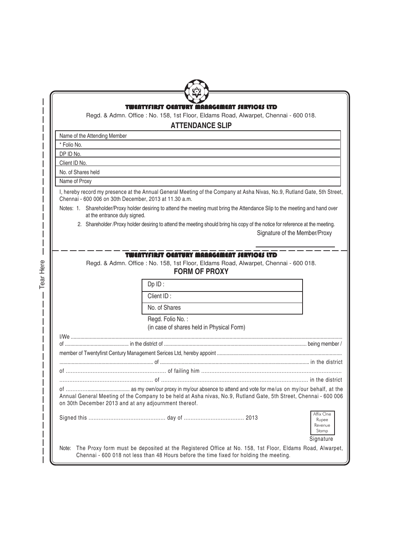|                              | JENTYFIRST OENTURY MANAGEMENT SERVICES LTD<br>Regd. & Admn. Office : No. 158, 1st Floor, Eldams Road, Alwarpet, Chennai - 600 018.                                                 |                                                     |
|------------------------------|------------------------------------------------------------------------------------------------------------------------------------------------------------------------------------|-----------------------------------------------------|
|                              | <b>ATTENDANCE SLIP</b>                                                                                                                                                             |                                                     |
| Name of the Attending Member |                                                                                                                                                                                    |                                                     |
| * Folio No.                  |                                                                                                                                                                                    |                                                     |
| DP ID No.                    |                                                                                                                                                                                    |                                                     |
| Client ID No.                |                                                                                                                                                                                    |                                                     |
| No. of Shares held           |                                                                                                                                                                                    |                                                     |
| Name of Proxy                |                                                                                                                                                                                    |                                                     |
|                              | I, hereby record my presence at the Annual General Meeting of the Company at Asha Nivas, No.9, Rutland Gate, 5th Street,<br>Chennai - 600 006 on 30th December, 2013 at 11.30 a.m. |                                                     |
| at the entrance duly signed. | Notes: 1. Shareholder/Proxy holder desiring to attend the meeting must bring the Attendance Slip to the meeting and hand over                                                      |                                                     |
|                              | 2. Shareholder /Proxy holder desiring to attend the meeting should bring his copy of the notice for reference at the meeting.                                                      |                                                     |
|                              |                                                                                                                                                                                    | Signature of the Member/Proxy                       |
|                              |                                                                                                                                                                                    |                                                     |
|                              | <b>TWENTYFIRST CENTURY MANAGEMENT SERVICES ITD</b>                                                                                                                                 |                                                     |
|                              | Regd. & Admn. Office: No. 158, 1st Floor, Eldams Road, Alwarpet, Chennai - 600 018.                                                                                                |                                                     |
|                              | <b>FORM OF PROXY</b>                                                                                                                                                               |                                                     |
|                              | $Dp$ $ID$ :                                                                                                                                                                        |                                                     |
|                              | Client ID:                                                                                                                                                                         |                                                     |
|                              | No. of Shares                                                                                                                                                                      |                                                     |
|                              |                                                                                                                                                                                    |                                                     |
|                              | Regd. Folio No.:<br>(in case of shares held in Physical Form)                                                                                                                      |                                                     |
|                              |                                                                                                                                                                                    |                                                     |
|                              |                                                                                                                                                                                    |                                                     |
|                              |                                                                                                                                                                                    |                                                     |
|                              |                                                                                                                                                                                    |                                                     |
|                              |                                                                                                                                                                                    |                                                     |
|                              |                                                                                                                                                                                    |                                                     |
|                              | Annual General Meeting of the Company to be held at Asha nivas, No.9, Rutland Gate, 5th Street, Chennai - 600 006<br>on 30th December 2013 and at any adjournment thereof.         |                                                     |
|                              |                                                                                                                                                                                    | Affix One<br>Rupee<br>Revenue<br>Stamp<br>Signature |